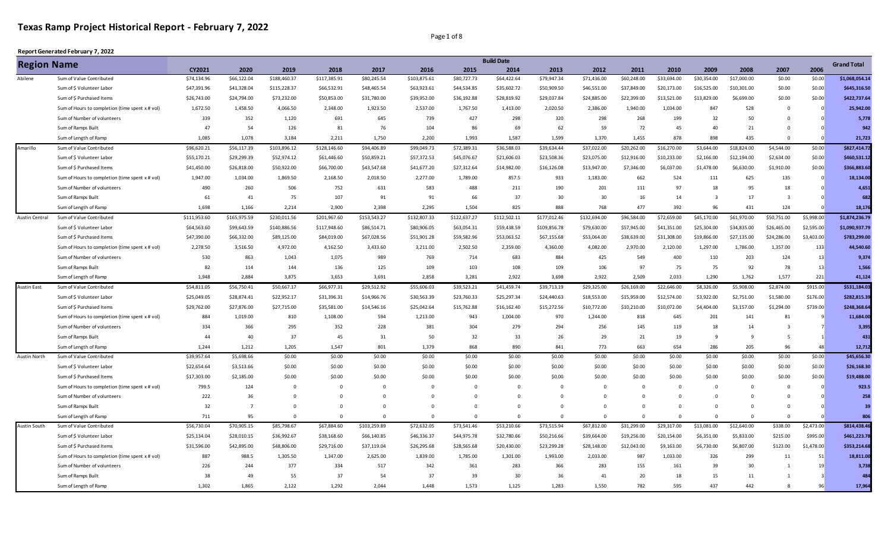Page 1 of 8

| <b>Region Name</b> |                                                 |              |                |              |              |              |              |              | <b>Build Date</b> |              |              |             |             |                         |                |                         |            | <b>Grand Total</b> |
|--------------------|-------------------------------------------------|--------------|----------------|--------------|--------------|--------------|--------------|--------------|-------------------|--------------|--------------|-------------|-------------|-------------------------|----------------|-------------------------|------------|--------------------|
|                    |                                                 | CY2021       | 2020           | 2019         | 2018         | 2017         | 2016         | 2015         | 2014              | 2013         | 2012         | 2011        | 2010        | 2009                    | 2008           | 2007                    | 2006       |                    |
| Abilene            | Sum of Value Contributed                        | \$74,134.96  | \$66,122.04    | \$188,460.37 | \$117,385.91 | \$80,245.54  | \$103,875.61 | \$80,727.73  | \$64,422.64       | \$79,947.34  | \$71,436.00  | \$60,248.00 | \$33,694.00 | \$30,354.00             | \$17,000.00    | \$0.00                  | \$0.00     | \$1,068,054.14     |
|                    | Sum of \$ Volunteer Labor                       | \$47,391.96  | \$41,328.04    | \$115,228.37 | \$66,532.91  | \$48,465.54  | \$63,923.61  | \$44,534.85  | \$35,602.72       | \$50,909.50  | \$46,551.00  | \$37,849.00 | \$20,173.00 | \$16,525.00             | \$10,301.00    | \$0.00                  | \$0.00     | \$645,316.50       |
|                    | Sum of \$ Purchased Items                       | \$26,743.00  | \$24,794.00    | \$73,232.00  | \$50,853.00  | \$31,780.00  | \$39,952.00  | \$36,192.88  | \$28,819.92       | \$29,037.84  | \$24,885.00  | \$22,399.00 | \$13,521.00 | \$13,829.00             | \$6,699.00     | \$0.00                  | \$0.00     | \$422.737.64       |
|                    | Sum of Hours to completion (time spent x # vol) | 1,672.50     | 1,458.50       | 4,066.50     | 2,348.00     | 1,923.50     | 2,537.00     | 1,767.50     | 1,413.00          | 2,020.50     | 2,386.00     | 1,940.00    | 1,034.00    | 847                     | 528            | $^{\circ}$              | $\Omega$   | 25,942.00          |
|                    | Sum of Number of volunteers                     | 339          | 352            | 1,120        | 691          | 645          | 739          | 427          | 298               | 320          | 298          | 268         | 199         | 32                      | 50             | $\Omega$                |            | 5,778              |
|                    | Sum of Ramps Built                              | 47           | 54             | 126          | 81           | 76           | 104          | 86           | 69                | 62           | 59           | 72          | 45          | 40                      | 21             | $\Omega$                |            | 942                |
|                    | Sum of Length of Ramp                           | 1,085        | 1,078          | 3,184        | 2,211        | 1,750        | 2,200        | 1,993        | 1,587             | 1,599        | 1,370        | 1,455       | 878         | 898                     | 435            | $\Omega$                |            | 21,723             |
| Amarillo           | Sum of Value Contributed                        | \$96,620.21  | \$56,117.39    | \$103,896.12 | \$128,146.60 | \$94,406.89  | \$99,049.73  | \$72,389.31  | \$36,588.03       | \$39,634.44  | \$37,022.00  | \$20,262.00 | \$16,270.00 | \$3,644.00              | \$18,824.00    | \$4,544.00              | \$0.00     | \$827,414.72       |
|                    | Sum of \$ Volunteer Labor                       | \$55,170.21  | \$29,299.39    | \$52,974.12  | \$61,446.60  | \$50,859.21  | \$57,372.53  | \$45,076.67  | \$21,606.03       | \$23,508.36  | \$23,075.00  | \$12,916.00 | \$10,233.00 | \$2,166.00              | \$12,194.00    | \$2,634.00              | \$0.00     | \$460.531.12       |
|                    | Sum of \$ Purchased Items                       | \$41,450.00  | \$26,818.00    | \$50,922.00  | \$66,700.00  | \$43,547.68  | \$41,677.20  | \$27,312.64  | \$14,982.00       | \$16,126.08  | \$13,947.00  | \$7,346.00  | \$6,037.00  | \$1,478.00              | \$6,630.00     | \$1,910.00              | \$0.00     | \$366,883.60       |
|                    | Sum of Hours to completion (time spent x # vol) | 1,947.00     | 1,034.00       | 1,869.50     | 2,168.50     | 2,018.50     | 2,277.00     | 1,789.00     | 857.5             | 933          | 1,183.00     | 662         | 524         | 111                     | 625            | 135                     | $\Omega$   | 18.134.00          |
|                    | Sum of Number of volunteers                     | 490          | 260            | 506          | 752          | 631          | 583          | 488          | 211               | 190          | 201          | 111         | 97          | 18                      | 95             | 18                      |            | 4,651              |
|                    | Sum of Ramps Built                              | 61           | 41             | 75           | 107          | 91           | 91           | 66           | 37                | 30           | 30           | 16          | 14          | $\overline{\mathbf{3}}$ | 17             | $\overline{\mathbf{3}}$ |            | 682                |
|                    | Sum of Length of Ramp                           | 1,698        | 1,166          | 2,214        | 2.900        | 2,398        | 2,295        | 1.504        | 825               | 888          | 768          | 477         | 392         | 96                      | 431            | 124                     |            | 18,176             |
| Austin Central     | Sum of Value Contributed                        | \$111,953.60 | \$165,975.59   | \$230,011.56 | \$201,967.60 | \$153,543.27 | \$132,807.33 | \$122,637.27 | \$112,502.11      | \$177,012.46 | \$132,694.00 | \$96,584.00 | \$72,659.00 | \$45,170.00             | \$61,970.00    | \$50,751.00             | \$5,998.00 | \$1,874,236.79     |
|                    | Sum of \$ Volunteer Labor                       | \$64,563.60  | \$99,643.59    | \$140,886.56 | \$117,948.60 | \$86,514.71  | \$80,906.05  | \$63,054.31  | \$59,438.59       | \$109,856.78 | \$79,630.00  | \$57,945.00 | \$41,351.00 | \$25,304.00             | \$34,835.00    | \$26,465.00             | \$2,595.00 | \$1,090,937.79     |
|                    | Sum of \$ Purchased Items                       | \$47,390.00  | \$66,332.00    | \$89,125.00  | \$84,019.00  | \$67,028.56  | \$51,901.28  | \$59,582.96  | \$53,063.52       | \$67,155.68  | \$53,064.00  | \$38,639.00 | \$31,308.00 | \$19,866.00             | \$27,135.00    | \$24,286.00             | \$3,403.00 | \$783,299.00       |
|                    | Sum of Hours to completion (time spent x # vol) | 2,278.50     | 3,516.50       | 4,972.00     | 4,162.50     | 3,433.60     | 3,211.00     | 2,502.50     | 2,359.00          | 4,360.00     | 4,082.00     | 2,970.00    | 2,120.00    | 1,297.00                | 1,786.00       | 1,357.00                | 133        | 44,540.60          |
|                    | Sum of Number of volunteers                     | 530          | 863            | 1,043        | 1,075        | 989          | 769          | 714          | 683               | 884          | 425          | 549         | 400         | 110                     | 203            | 124                     | 13         | 9,374              |
|                    | Sum of Ramps Built                              | 82           | 114            | 144          | 136          | 125          | 109          | 103          | 108               | 109          | 106          | 97          | 75          | 75                      | 92             | 78                      | 13         | 1,566              |
|                    | Sum of Length of Ramp                           | 1,948        | 2.884          | 3.875        | 3,653        | 3,691        | 2.858        | 3,281        | 2,922             | 3,698        | 2,922        | 2,509       | 2,033       | 1,290                   | 1,762          | 1,577                   | 221        | 41,124             |
| <b>Austin East</b> | Sum of Value Contributed                        | \$54,811.05  | \$56,750.41    | \$50,667.17  | \$66,977.31  | \$29,512.92  | \$55,606.03  | \$39,523.21  | \$41,459.74       | \$39,713.19  | \$29,325.00  | \$26,169.00 | \$22,646.00 | \$8,326.00              | \$5,908.00     | \$2,874.00              | \$915.00   | \$531,184.03       |
|                    | Sum of \$ Volunteer Labor                       | \$25,049.05  | \$28,874.41    | \$22,952.17  | \$31,396.31  | \$14,966.76  | \$30,563.39  | \$23,760.33  | \$25,297.34       | \$24,440.63  | \$18,553.00  | \$15,959.00 | \$12,574.00 | \$3,922.00              | \$2,751.00     | \$1,580.00              | \$176.00   | \$282,815.39       |
|                    | Sum of \$ Purchased Items                       | \$29,762.00  | \$27,876.00    | \$27,715.00  | \$35,581.00  | \$14,546.16  | \$25,042.64  | \$15,762.88  | \$16,162.40       | \$15,272.56  | \$10,772.00  | \$10,210.00 | \$10,072.00 | \$4,404.00              | \$3,157.00     | \$1,294.00              | \$739.00   | \$248,368.64       |
|                    | Sum of Hours to completion (time spent x # vol) | 884          | 1,019.00       | 810          | 1,108.00     | 594          | 1,213.00     | 943          | 1,004.00          | 970          | 1,244.00     | 818         | 645         | 201                     | 141            | 81                      | -9         | 11.684.00          |
|                    | Sum of Number of volunteers                     | 334          | 366            | 295          | 352          | 228          | 381          | 304          | 279               | 294          | 256          | 145         | 119         | 18                      | 14             | ્વ                      |            | 3,395              |
|                    | Sum of Ramps Built                              | 44           | 40             | 37           | 45           | 31           | 50           | 32           | 33                | 26           | 29           | 21          | 19          | 9                       | 9              | 5                       |            | 431                |
|                    | Sum of Length of Ramp                           | 1,244        | 1,212          | 1,205        | 1.547        | 801          | 1.379        | 868          | 890               | 841          | 773          | 663         | 654         | 286                     | 205            | 96                      | 48         | 12,712             |
| Austin North       | Sum of Value Contributed                        | \$39,957.64  | \$5,698.66     | \$0.00       | \$0.00       | \$0.00       | \$0.00       | \$0.00       | \$0.00            | \$0.00       | \$0.00       | \$0.00      | \$0.00      | \$0.00                  | \$0.00         | \$0.00                  | \$0.00     | \$45,656.30        |
|                    | Sum of \$ Volunteer Labor                       | \$22,654.64  | \$3,513.66     | \$0.00       | \$0.00       | \$0.00       | \$0.00       | \$0.00       | \$0.00            | \$0.00       | \$0.00       | \$0.00      | \$0.00      | \$0.00                  | \$0.00         | \$0.00                  | \$0.00     | \$26,168.30        |
|                    | Sum of \$ Purchased Items                       | \$17,303.00  | \$2,185.00     | \$0.00       | \$0.00       | \$0.00       | \$0.00       | \$0.00       | \$0.00            | \$0.00       | \$0.00       | \$0.00      | \$0.00      | \$0.00                  | \$0.00         | \$0.00                  | \$0.00     | \$19,488.00        |
|                    | Sum of Hours to completion (time spent x # vol) | 799.5        | 124            | $\mathbf 0$  | $\mathbf 0$  | $\mathbf{0}$ | $\mathbf 0$  | $\mathbf 0$  | $\mathbf 0$       | $\Omega$     | $\mathbf 0$  | $\Omega$    | $\Omega$    | $\Omega$                | $\overline{0}$ | $\Omega$                | $\Omega$   | 923.5              |
|                    | Sum of Number of volunteers                     | 222          | 36             | $\Omega$     | $\Omega$     | $\Omega$     | $\Omega$     | $\Omega$     | $\Omega$          | $\Omega$     | $\Omega$     | $\Omega$    | $\Omega$    | $\Omega$                | $\Omega$       | $\Omega$                |            | 258                |
|                    | Sum of Ramps Built                              | 32           | $\overline{7}$ | $\Omega$     | $\Omega$     | $\Omega$     | $\Omega$     | $\Omega$     | $\Omega$          | $\Omega$     | $\Omega$     | $\Omega$    | $\Omega$    | $\Omega$                | $\Omega$       | $\Omega$                |            | 39                 |
|                    | Sum of Length of Ramp                           | 711          | 95             | $\Omega$     | $\mathbf 0$  | $\Omega$     | $\mathbf 0$  | $\mathbf 0$  | $\Omega$          | $\Omega$     | $\Omega$     | $\Omega$    | $\Omega$    | $\Omega$                | $\Omega$       | $\Omega$                |            | 806                |
| Austin South       | Sum of Value Contributed                        | \$56,730.04  | \$70,905.15    | \$85,798.67  | \$67,884.60  | \$103,259.89 | \$72,632.05  | \$73,541.46  | \$53,210.66       | \$73,515.94  | \$67,812.00  | \$31,299.00 | \$29,317.00 | \$13,081.00             | \$12,640.00    | \$338.00                | \$2,473.00 | \$814,438.46       |
|                    | Sum of \$ Volunteer Labor                       | \$25,134.04  | \$28,010.15    | \$36,992.67  | \$38,168.60  | \$66,140.85  | \$46,336.37  | \$44,975.78  | \$32,780.66       | \$50,216.66  | \$39,664.00  | \$19,256.00 | \$20,154.00 | \$6,351.00              | \$5,833.00     | \$215.00                | \$995.00   | \$461,223.78       |
|                    | Sum of \$ Purchased Items                       | \$31,596.00  | \$42,895.00    | \$48,806.00  | \$29,716.00  | \$37,119.04  | \$26,295.68  | \$28,565.68  | \$20,430.00       | \$23,299.28  | \$28,148.00  | \$12,043.00 | \$9,163.00  | \$6,730.00              | \$6,807.00     | \$123.00                | \$1,478.00 | \$353,214.68       |
|                    | Sum of Hours to completion (time spent x # vol) | 887          | 988.5          | 1,305.50     | 1,347.00     | 2,625.00     | 1,839.00     | 1,785.00     | 1,301.00          | 1,993.00     | 2,033.00     | 987         | 1,033.00    | 326                     | 299            | 11                      | 51         | 18,811.00          |
|                    | Sum of Number of volunteers                     | 226          | 244            | 377          | 334          | 517          | 342          | 361          | 283               | 366          | 283          | 155         | 161         | 39                      | 30             |                         | 19         | 3,738              |
|                    | Sum of Ramps Built                              | 38           | 49             | 55           | 37           | 54           | 37           | 39           | 30                | 36           | 41           | 20          | 18          | 15                      | 11             | 1                       |            | 484                |
|                    | Sum of Length of Ramp                           | 1.302        | 1.865          | 2.122        | 1.292        | 2.044        | 1.448        | 1.573        | 1.125             | 1.283        | 1.550        | 782         | 595         | 437                     | 442            | $\mathbf{R}$            | 96         | 17.964             |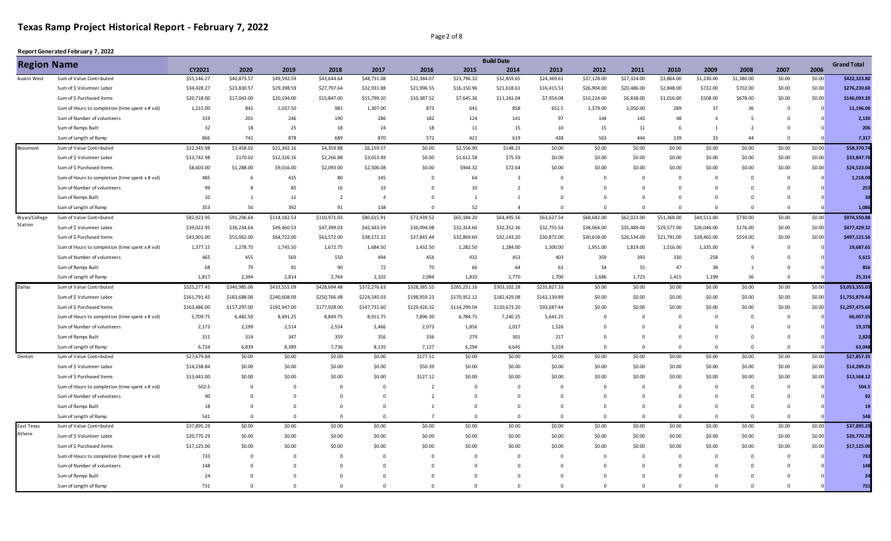Page 2 of 8

| CY2021<br>2007<br>2006<br>2020<br>2019<br>2018<br>2017<br>2016<br>2015<br>2014<br>2013<br>2012<br>2011<br>2010<br>2009<br>2008<br>\$40,873.57<br>\$49,592.59<br>\$43,644.64<br>\$48,731.08<br>\$32,384.07<br>\$23,796.32<br>\$32,859.65<br>\$24,369.61<br>\$27,324.00<br>\$3,864.00<br>\$1,230.00<br>\$1,380.00<br>\$0.00<br>Sum of Value Contributed<br>\$55,146.27<br>\$37,128.00<br>\$0.00<br>Sum of \$ Volunteer Labor<br>\$34,428.27<br>\$23,830.57<br>\$29,398.59<br>\$27,797.64<br>\$32,931.88<br>\$21,996.55<br>\$16,150.96<br>\$21,618.61<br>\$16,415.53<br>\$26,904.00<br>\$20,486.00<br>\$2,848.00<br>\$722.00<br>\$702.00<br>\$0.00<br>\$0.00<br>\$0.00<br>Sum of \$ Purchased Items<br>\$20,718.00<br>\$17,043.00<br>\$20,194.00<br>\$15,847.00<br>\$15,799.20<br>\$10,387.52<br>\$7,645.36<br>\$11,241.04<br>\$7,954.08<br>\$10,224.00<br>\$6,838.00<br>\$1,016.00<br>\$508.00<br>\$678.00<br>\$0.00<br>981<br>873<br>651.5<br>289<br>37<br>36<br>1,215.00<br>841<br>1,037.50<br>1,307.00<br>641<br>858<br>1,379.00<br>1,050.00<br>Sum of Hours to completion (time spent x # vol)<br>$\Omega$<br>190<br>286<br>182<br>124<br>97<br>319<br>201<br>246<br>141<br>144<br>143<br>48<br>Sum of Number of volunteers<br>5<br>$\overline{4}$<br>$\Omega$<br>32<br>18<br>25<br>18<br>24<br>18<br>11<br>15<br>10<br>15<br>Sum of Ramps Built<br>11<br>$\overline{2}$<br>$\overline{0}$<br>- 6<br>$\mathbf{1}$<br>866<br>741<br>878<br>689<br>870<br>572<br>421<br>619<br>438<br>563<br>444<br>139<br>33<br>Sum of Length of Ramp<br>44<br>$\Omega$<br>\$58,370.74<br>\$22,345.98<br>\$1,458.02<br>\$21,342.16<br>\$4,359.88<br>\$6,159.57<br>\$0.00<br>\$2,556.90<br>\$148.23<br>\$0.00<br>\$0.00<br>\$0.00<br>Sum of Value Contributed<br>\$0.00<br>\$0.00<br>\$0.00<br>\$0.00<br>\$0.00<br>\$13,742.98<br>\$170.02<br>\$12,326.16<br>\$3,653.49<br>\$1,612.58<br>\$75.59<br>\$0.00<br>\$0.00<br>\$0.00<br>\$0.00<br>\$0.00<br>Sum of \$ Volunteer Labor<br>\$2,266.88<br>\$0.00<br>\$0.00<br>\$0.00<br>\$0.00<br>\$8,603.00<br>\$0.00<br>\$944.32<br>\$72.64<br>\$0.00<br>\$0.00<br>\$0.00<br>Sum of \$ Purchased Items<br>\$1,288.00<br>\$9,016.00<br>\$2,093.00<br>\$2,506.08<br>\$0.00<br>\$0.00<br>\$0.00<br>\$0.00<br>\$0.00<br>485<br>435<br>80<br>64<br>Sum of Hours to completion (time spent x # vol)<br>145<br>$\mathsf 0$<br>$\overline{\mathbf{3}}$<br>$\Omega$<br>$\mathbf 0$<br>6<br>$\Omega$<br>$\Omega$<br>$\Omega$<br>$\Omega$<br>$\Omega$<br>$\Omega$<br>33<br>Sum of Number of volunteers<br>99<br>85<br>16<br>$\Omega$<br>10<br>$\overline{2}$<br>8<br>$\Omega$<br>$\Omega$<br>$\Omega$<br>$\Omega$<br>$\Omega$<br>$\Omega$<br>$\Omega$<br>$\overline{2}$<br>Sum of Ramps Built<br>10<br>11<br>$\overline{4}$<br>$^{\circ}$<br>1<br>1<br>$\Omega$<br>$\mathbf 0$<br>$\Omega$<br>1<br>$\Omega$<br>$\Omega$<br>$\Omega$<br>$\Omega$<br>56<br>52<br>353<br>392<br>138<br>Sum of Length of Ramp<br>91<br>$\mathbf 0$<br>$\overline{a}$<br>$\Omega$<br>$\Omega$<br>$\Omega$<br>$\Omega$<br>$\Omega$<br>$\Omega$<br>\$91,296.64<br>\$114,182.53<br>\$110,971.03<br>\$80,615.91<br>\$73,939.52<br>\$65,184.20<br>\$64,495.56<br>\$63,627.54<br>\$62,023.00<br>\$51,368.00<br>\$0.00<br>Sum of Value Contributed<br>\$82,923.95<br>\$68,682.00<br>\$44,511.00<br>\$730.00<br>\$0.00<br>\$39,022.95<br>\$36,234.64<br>\$49,460.53<br>\$47,399.03<br>\$42,443.59<br>\$36,094.08<br>\$32,314.60<br>\$32,352.36<br>\$32,755.54<br>\$38,064.00<br>\$35,489.00<br>\$29,577.00<br>\$26,046.00<br>\$176.00<br>\$0.00<br>\$0.00<br>Sum of \$ Volunteer Labor<br>Sum of \$ Purchased Items<br>\$43,901.00<br>\$55,062.00<br>\$64,722.00<br>\$63,572.00<br>\$38,172.32<br>\$37,845.44<br>\$32,869.60<br>\$32,143.20<br>\$30,872.00<br>\$30,618.00<br>\$26,534.00<br>\$21,791.00<br>\$18,465.00<br>\$554.00<br>\$0.00<br>\$0.00<br>1,377.15<br>1,335.00<br>Sum of Hours to completion (time spent x # vol)<br>1,278.75<br>1,745.50<br>1,672.75<br>1,684.50<br>1,432.50<br>1,282.50<br>1,284.00<br>1,300.00<br>1,951.00<br>1,819.00<br>1,516.00<br>9<br>$\overline{0}$<br>$\Omega$<br>Sum of Number of volunteers<br>465<br>455<br>569<br>550<br>494<br>454<br>432<br>453<br>403<br>359<br>393<br>330<br>258<br>$\Omega$<br>$\Omega$<br>66<br>68<br>79<br>91<br>90<br>72<br>70<br>64<br>61<br>55<br>38<br>Sum of Ramps Built<br>54<br>47<br>$\overline{0}$<br>1<br>1,817<br>2,394<br>2,764<br>2,102<br>2,084<br>1,810<br>1,770<br>1,700<br>1,686<br>36<br>Sum of Length of Ramp<br>2,814<br>1,723<br>1,415<br>1,199<br>$\Omega$<br>\$325,277.45<br>\$340,985.06<br>\$433,555.09<br>\$428,694.48<br>\$372,276.63<br>\$328,385.55<br>\$285,251.16<br>\$303,102.28<br>\$235,827.33<br>\$0.00<br>\$0.00<br>\$0.00<br>\$0.00<br>\$0.00<br>\$0.00<br>\$0.00<br>Sum of Value Contributed<br>Sum of \$ Volunteer Labor<br>\$161,791.45<br>\$183,688.06<br>\$240,608.09<br>\$250,766.48<br>\$224,545.03<br>\$198,959.23<br>\$170,952.12<br>\$182,429.08<br>\$142,139.89<br>\$0.00<br>\$0.00<br>\$0.00<br>\$0.00<br>\$0.00<br>\$0.00<br>\$0.00<br>\$163,486.00<br>\$157,297.00<br>\$192,947.00<br>\$177,928.00<br>\$147,731.60<br>\$129,426.32<br>\$114,299.04<br>\$120,673.20<br>\$93,687.44<br>\$0.00<br>\$0.00<br>\$0.00<br>\$0.00<br>\$0.00<br>\$0.00<br>\$0.00<br>Sum of \$ Purchased Items<br>6,482.50<br>Sum of Hours to completion (time spent x # vol)<br>5,709.75<br>8,491.25<br>8,849.75<br>8,911.75<br>7,896.30<br>6,784.75<br>7,240.25<br>5,641.25<br>$\overline{0}$<br>$\mathbf 0$<br>$\overline{0}$<br>$\Omega$<br>$\Omega$<br>0<br>$\Omega$<br>19,378<br>2,173<br>2,199<br>2,514<br>2,554<br>2,466<br>2,073<br>1,856<br>2,017<br>1,526<br>Sum of Number of volunteers<br>$\Omega$<br>$\Omega$<br>$\Omega$<br>$\Omega$<br>$\Omega$<br>$\Omega$<br>336<br>311<br>314<br>347<br>359<br>356<br>279<br>301<br>217<br>Sum of Ramps Built<br>$\Omega$<br>$\overline{0}$<br>$^{\circ}$<br>$\Omega$<br>$\Omega$<br>$\mathbf{0}$<br>6,724<br>6,839<br>8,389<br>7,736<br>8,135<br>7,127<br>6,294<br>6,645<br>5,159<br>$\Omega$<br>$\Omega$<br>63,048<br>Sum of Length of Ramp<br>$\Omega$<br>$\overline{0}$<br>$\overline{0}$<br>$\overline{0}$<br>$\Omega$<br>\$0.00<br>\$0.00<br>\$27,679.84<br>\$0.00<br>\$0.00<br>\$0.00<br>\$0.00<br>\$177.51<br>\$0.00<br>\$0.00<br>\$0.00<br>\$0.00<br>\$0.00<br>\$0.00<br>\$0.00<br>\$0.00<br>Sum of Value Contributed<br>Sum of \$ Volunteer Labor<br>\$14,238.84<br>\$0.00<br>\$0.00<br>\$0.00<br>\$0.00<br>\$50.39<br>\$0.00<br>\$0.00<br>\$0.00<br>\$0.00<br>\$0.00<br>\$0.00<br>\$0.00<br>\$0.00<br>\$0.00<br>\$0.00<br>\$0.00<br>\$0.00<br>\$0.00<br>\$0.00<br>\$0.00<br>\$127.12<br>\$0.00<br>\$0.00<br>\$0.00<br>\$0.00<br>\$0.00<br>\$0.00<br>\$0.00<br>\$0.00<br>\$0.00<br>Sum of \$ Purchased Items<br>\$13,441.00<br>502.5<br>Sum of Hours to completion (time spent x # vol)<br>$\mathbf{0}$<br>$\mathbf 0$<br>$\mathbf 0$<br>$\overline{2}$<br>$\mathbf 0$<br>$\overline{0}$<br>$^{\circ}$<br>$^{\circ}$<br>$\mathbf{0}$<br>$\Omega$<br>$\Omega$<br>$\overline{0}$<br>$\mathbf{0}$<br>$^{\circ}$<br>$\overline{2}$<br>90<br>$\Omega$<br>$\mathbf 0$<br>$\mathbf{0}$<br>$\mathsf 0$<br>$\Omega$<br>Sum of Number of volunteers<br>$\mathsf 0$<br>$\Omega$<br>$\Omega$<br>$\Omega$<br>$\Omega$<br>$\Omega$<br>$\Omega$<br>$\Omega$<br>Sum of Ramps Built<br>18<br>$\Omega$<br>$\mathbf 0$<br>$\Omega$<br>$\Omega$<br>$\Omega$<br>1<br>$\Omega$<br>$\Omega$<br>$\Omega$<br>$\Omega$<br>$\Omega$<br>$\Omega$<br>$\Omega$<br>$\Omega$<br>541<br>$\overline{0}$<br>$\Omega$<br>$\mathbf{0}$<br>$\overline{7}$<br>$\mathbf{0}$<br>$\Omega$<br>$\Omega$<br>$\Omega$<br>Sum of Length of Ramp<br>$\mathbf 0$<br>$\mathbf{0}$<br>$\Omega$<br>$\Omega$<br>$\Omega$<br>$\Omega$<br>\$37,895.29<br>\$0.00<br>\$0.00<br>\$0.00<br>\$0.00<br>\$0.00<br>\$0.00<br>\$0.00<br>\$0.00<br>\$0.00<br>\$0.00<br>\$0.00<br>Sum of Value Contributed<br>\$37,895.29<br>\$0.00<br>\$0.00<br>\$0.00<br>\$0.00 | <b>Region Name</b> |  |  |  |  | <b>Build Date</b> |  |  |  |  | <b>Grand Total</b> |
|---------------------------------------------------------------------------------------------------------------------------------------------------------------------------------------------------------------------------------------------------------------------------------------------------------------------------------------------------------------------------------------------------------------------------------------------------------------------------------------------------------------------------------------------------------------------------------------------------------------------------------------------------------------------------------------------------------------------------------------------------------------------------------------------------------------------------------------------------------------------------------------------------------------------------------------------------------------------------------------------------------------------------------------------------------------------------------------------------------------------------------------------------------------------------------------------------------------------------------------------------------------------------------------------------------------------------------------------------------------------------------------------------------------------------------------------------------------------------------------------------------------------------------------------------------------------------------------------------------------------------------------------------------------------------------------------------------------------------------------------------------------------------------------------------------------------------------------------------------------------------------------------------------------------------------------------------------------------------------------------------------------------------------------------------------------------------------------------------------------------------------------------------------------------------------------------------------------------------------------------------------------------------------------------------------------------------------------------------------------------------------------------------------------------------------------------------------------------------------------------------------------------------------------------------------------------------------------------------------------------------------------------------------------------------------------------------------------------------------------------------------------------------------------------------------------------------------------------------------------------------------------------------------------------------------------------------------------------------------------------------------------------------------------------------------------------------------------------------------------------------------------------------------------------------------------------------------------------------------------------------------------------------------------------------------------------------------------------------------------------------------------------------------------------------------------------------------------------------------------------------------------------------------------------------------------------------------------------------------------------------------------------------------------------------------------------------------------------------------------------------------------------------------------------------------------------------------------------------------------------------------------------------------------------------------------------------------------------------------------------------------------------------------------------------------------------------------------------------------------------------------------------------------------------------------------------------------------------------------------------------------------------------------------------------------------------------------------------------------------------------------------------------------------------------------------------------------------------------------------------------------------------------------------------------------------------------------------------------------------------------------------------------------------------------------------------------------------------------------------------------------------------------------------------------------------------------------------------------------------------------------------------------------------------------------------------------------------------------------------------------------------------------------------------------------------------------------------------------------------------------------------------------------------------------------------------------------------------------------------------------------------------------------------------------------------------------------------------------------------------------------------------------------------------------------------------------------------------------------------------------------------------------------------------------------------------------------------------------------------------------------------------------------------------------------------------------------------------------------------------------------------------------------------------------------------------------------------------------------------------------------------------------------------------------------------------------------------------------------------------------------------------------------------------------------------------------------------------------------------------------------------------------------------------------------------------------------------------------------------------------------------------------------------------------------------------------------------------------------------------------------------------------------------------------------------------------------------------------------------------------------------------------------------------------------------------------------------------------------------------------------------------------------------------------------------------------------------------------------------------------------------------------------------------------------------------------------------------------------------------------------------------------------------------------------------------------------------------------------------------------------------------------------------------------------------------------------------------------------------------------------------------------------------------------------------------------------------------------------------------------------------------------------------------------------------------------------------------------------------------------------------------------------------------------------------------------------------------------------------------------------------------------------------------------------------------------------------------------------------------------------------------------------------------------------------------------------------------------------------------------------------------------------------------------------------------------------------------------------------------------------------------------------------------------------------------|--------------------|--|--|--|--|-------------------|--|--|--|--|--------------------|
|                                                                                                                                                                                                                                                                                                                                                                                                                                                                                                                                                                                                                                                                                                                                                                                                                                                                                                                                                                                                                                                                                                                                                                                                                                                                                                                                                                                                                                                                                                                                                                                                                                                                                                                                                                                                                                                                                                                                                                                                                                                                                                                                                                                                                                                                                                                                                                                                                                                                                                                                                                                                                                                                                                                                                                                                                                                                                                                                                                                                                                                                                                                                                                                                                                                                                                                                                                                                                                                                                                                                                                                                                                                                                                                                                                                                                                                                                                                                                                                                                                                                                                                                                                                                                                                                                                                                                                                                                                                                                                                                                                                                                                                                                                                                                                                                                                                                                                                                                                                                                                                                                                                                                                                                                                                                                                                                                                                                                                                                                                                                                                                                                                                                                                                                                                                                                                                                                                                                                                                                                                                                                                                                                                                                                                                                                                                                                                                                                                                                                                                                                                                                                                                                                                                                                                                                                                                                                                                                                                                                                                                                                                                                                                                                                                                                                                                                                                                                                                                                                                                                                                                                                                                                                                                                                                                                                                                                                                                                             |                    |  |  |  |  |                   |  |  |  |  |                    |
| \$276,230.60<br>\$146,093.20<br>11,196.00<br>2,130<br>206<br>7,317<br>\$33,847.70<br>\$24,523.04<br>1,218.00<br>253<br>1,086<br>\$974,550.88<br>\$477,429.32<br>\$497,121.56<br>19,687.65<br>5,615<br>856<br>25,314<br>\$3,053,355.03<br>\$1,755,879.43<br>\$1,297,475.60<br>66,007.55<br>2,820<br>\$27,857.35<br>\$14,289.23<br>\$13,568.12<br>504.5<br>92<br>19<br>548                                                                                                                                                                                                                                                                                                                                                                                                                                                                                                                                                                                                                                                                                                                                                                                                                                                                                                                                                                                                                                                                                                                                                                                                                                                                                                                                                                                                                                                                                                                                                                                                                                                                                                                                                                                                                                                                                                                                                                                                                                                                                                                                                                                                                                                                                                                                                                                                                                                                                                                                                                                                                                                                                                                                                                                                                                                                                                                                                                                                                                                                                                                                                                                                                                                                                                                                                                                                                                                                                                                                                                                                                                                                                                                                                                                                                                                                                                                                                                                                                                                                                                                                                                                                                                                                                                                                                                                                                                                                                                                                                                                                                                                                                                                                                                                                                                                                                                                                                                                                                                                                                                                                                                                                                                                                                                                                                                                                                                                                                                                                                                                                                                                                                                                                                                                                                                                                                                                                                                                                                                                                                                                                                                                                                                                                                                                                                                                                                                                                                                                                                                                                                                                                                                                                                                                                                                                                                                                                                                                                                                                                                                                                                                                                                                                                                                                                                                                                                                                                                                                                                                    | Austin West        |  |  |  |  |                   |  |  |  |  | \$422,323.80       |
|                                                                                                                                                                                                                                                                                                                                                                                                                                                                                                                                                                                                                                                                                                                                                                                                                                                                                                                                                                                                                                                                                                                                                                                                                                                                                                                                                                                                                                                                                                                                                                                                                                                                                                                                                                                                                                                                                                                                                                                                                                                                                                                                                                                                                                                                                                                                                                                                                                                                                                                                                                                                                                                                                                                                                                                                                                                                                                                                                                                                                                                                                                                                                                                                                                                                                                                                                                                                                                                                                                                                                                                                                                                                                                                                                                                                                                                                                                                                                                                                                                                                                                                                                                                                                                                                                                                                                                                                                                                                                                                                                                                                                                                                                                                                                                                                                                                                                                                                                                                                                                                                                                                                                                                                                                                                                                                                                                                                                                                                                                                                                                                                                                                                                                                                                                                                                                                                                                                                                                                                                                                                                                                                                                                                                                                                                                                                                                                                                                                                                                                                                                                                                                                                                                                                                                                                                                                                                                                                                                                                                                                                                                                                                                                                                                                                                                                                                                                                                                                                                                                                                                                                                                                                                                                                                                                                                                                                                                                                             |                    |  |  |  |  |                   |  |  |  |  |                    |
|                                                                                                                                                                                                                                                                                                                                                                                                                                                                                                                                                                                                                                                                                                                                                                                                                                                                                                                                                                                                                                                                                                                                                                                                                                                                                                                                                                                                                                                                                                                                                                                                                                                                                                                                                                                                                                                                                                                                                                                                                                                                                                                                                                                                                                                                                                                                                                                                                                                                                                                                                                                                                                                                                                                                                                                                                                                                                                                                                                                                                                                                                                                                                                                                                                                                                                                                                                                                                                                                                                                                                                                                                                                                                                                                                                                                                                                                                                                                                                                                                                                                                                                                                                                                                                                                                                                                                                                                                                                                                                                                                                                                                                                                                                                                                                                                                                                                                                                                                                                                                                                                                                                                                                                                                                                                                                                                                                                                                                                                                                                                                                                                                                                                                                                                                                                                                                                                                                                                                                                                                                                                                                                                                                                                                                                                                                                                                                                                                                                                                                                                                                                                                                                                                                                                                                                                                                                                                                                                                                                                                                                                                                                                                                                                                                                                                                                                                                                                                                                                                                                                                                                                                                                                                                                                                                                                                                                                                                                                             |                    |  |  |  |  |                   |  |  |  |  |                    |
|                                                                                                                                                                                                                                                                                                                                                                                                                                                                                                                                                                                                                                                                                                                                                                                                                                                                                                                                                                                                                                                                                                                                                                                                                                                                                                                                                                                                                                                                                                                                                                                                                                                                                                                                                                                                                                                                                                                                                                                                                                                                                                                                                                                                                                                                                                                                                                                                                                                                                                                                                                                                                                                                                                                                                                                                                                                                                                                                                                                                                                                                                                                                                                                                                                                                                                                                                                                                                                                                                                                                                                                                                                                                                                                                                                                                                                                                                                                                                                                                                                                                                                                                                                                                                                                                                                                                                                                                                                                                                                                                                                                                                                                                                                                                                                                                                                                                                                                                                                                                                                                                                                                                                                                                                                                                                                                                                                                                                                                                                                                                                                                                                                                                                                                                                                                                                                                                                                                                                                                                                                                                                                                                                                                                                                                                                                                                                                                                                                                                                                                                                                                                                                                                                                                                                                                                                                                                                                                                                                                                                                                                                                                                                                                                                                                                                                                                                                                                                                                                                                                                                                                                                                                                                                                                                                                                                                                                                                                                             |                    |  |  |  |  |                   |  |  |  |  |                    |
|                                                                                                                                                                                                                                                                                                                                                                                                                                                                                                                                                                                                                                                                                                                                                                                                                                                                                                                                                                                                                                                                                                                                                                                                                                                                                                                                                                                                                                                                                                                                                                                                                                                                                                                                                                                                                                                                                                                                                                                                                                                                                                                                                                                                                                                                                                                                                                                                                                                                                                                                                                                                                                                                                                                                                                                                                                                                                                                                                                                                                                                                                                                                                                                                                                                                                                                                                                                                                                                                                                                                                                                                                                                                                                                                                                                                                                                                                                                                                                                                                                                                                                                                                                                                                                                                                                                                                                                                                                                                                                                                                                                                                                                                                                                                                                                                                                                                                                                                                                                                                                                                                                                                                                                                                                                                                                                                                                                                                                                                                                                                                                                                                                                                                                                                                                                                                                                                                                                                                                                                                                                                                                                                                                                                                                                                                                                                                                                                                                                                                                                                                                                                                                                                                                                                                                                                                                                                                                                                                                                                                                                                                                                                                                                                                                                                                                                                                                                                                                                                                                                                                                                                                                                                                                                                                                                                                                                                                                                                             |                    |  |  |  |  |                   |  |  |  |  |                    |
|                                                                                                                                                                                                                                                                                                                                                                                                                                                                                                                                                                                                                                                                                                                                                                                                                                                                                                                                                                                                                                                                                                                                                                                                                                                                                                                                                                                                                                                                                                                                                                                                                                                                                                                                                                                                                                                                                                                                                                                                                                                                                                                                                                                                                                                                                                                                                                                                                                                                                                                                                                                                                                                                                                                                                                                                                                                                                                                                                                                                                                                                                                                                                                                                                                                                                                                                                                                                                                                                                                                                                                                                                                                                                                                                                                                                                                                                                                                                                                                                                                                                                                                                                                                                                                                                                                                                                                                                                                                                                                                                                                                                                                                                                                                                                                                                                                                                                                                                                                                                                                                                                                                                                                                                                                                                                                                                                                                                                                                                                                                                                                                                                                                                                                                                                                                                                                                                                                                                                                                                                                                                                                                                                                                                                                                                                                                                                                                                                                                                                                                                                                                                                                                                                                                                                                                                                                                                                                                                                                                                                                                                                                                                                                                                                                                                                                                                                                                                                                                                                                                                                                                                                                                                                                                                                                                                                                                                                                                                             |                    |  |  |  |  |                   |  |  |  |  |                    |
|                                                                                                                                                                                                                                                                                                                                                                                                                                                                                                                                                                                                                                                                                                                                                                                                                                                                                                                                                                                                                                                                                                                                                                                                                                                                                                                                                                                                                                                                                                                                                                                                                                                                                                                                                                                                                                                                                                                                                                                                                                                                                                                                                                                                                                                                                                                                                                                                                                                                                                                                                                                                                                                                                                                                                                                                                                                                                                                                                                                                                                                                                                                                                                                                                                                                                                                                                                                                                                                                                                                                                                                                                                                                                                                                                                                                                                                                                                                                                                                                                                                                                                                                                                                                                                                                                                                                                                                                                                                                                                                                                                                                                                                                                                                                                                                                                                                                                                                                                                                                                                                                                                                                                                                                                                                                                                                                                                                                                                                                                                                                                                                                                                                                                                                                                                                                                                                                                                                                                                                                                                                                                                                                                                                                                                                                                                                                                                                                                                                                                                                                                                                                                                                                                                                                                                                                                                                                                                                                                                                                                                                                                                                                                                                                                                                                                                                                                                                                                                                                                                                                                                                                                                                                                                                                                                                                                                                                                                                                             |                    |  |  |  |  |                   |  |  |  |  |                    |
|                                                                                                                                                                                                                                                                                                                                                                                                                                                                                                                                                                                                                                                                                                                                                                                                                                                                                                                                                                                                                                                                                                                                                                                                                                                                                                                                                                                                                                                                                                                                                                                                                                                                                                                                                                                                                                                                                                                                                                                                                                                                                                                                                                                                                                                                                                                                                                                                                                                                                                                                                                                                                                                                                                                                                                                                                                                                                                                                                                                                                                                                                                                                                                                                                                                                                                                                                                                                                                                                                                                                                                                                                                                                                                                                                                                                                                                                                                                                                                                                                                                                                                                                                                                                                                                                                                                                                                                                                                                                                                                                                                                                                                                                                                                                                                                                                                                                                                                                                                                                                                                                                                                                                                                                                                                                                                                                                                                                                                                                                                                                                                                                                                                                                                                                                                                                                                                                                                                                                                                                                                                                                                                                                                                                                                                                                                                                                                                                                                                                                                                                                                                                                                                                                                                                                                                                                                                                                                                                                                                                                                                                                                                                                                                                                                                                                                                                                                                                                                                                                                                                                                                                                                                                                                                                                                                                                                                                                                                                             | Beaumont           |  |  |  |  |                   |  |  |  |  |                    |
|                                                                                                                                                                                                                                                                                                                                                                                                                                                                                                                                                                                                                                                                                                                                                                                                                                                                                                                                                                                                                                                                                                                                                                                                                                                                                                                                                                                                                                                                                                                                                                                                                                                                                                                                                                                                                                                                                                                                                                                                                                                                                                                                                                                                                                                                                                                                                                                                                                                                                                                                                                                                                                                                                                                                                                                                                                                                                                                                                                                                                                                                                                                                                                                                                                                                                                                                                                                                                                                                                                                                                                                                                                                                                                                                                                                                                                                                                                                                                                                                                                                                                                                                                                                                                                                                                                                                                                                                                                                                                                                                                                                                                                                                                                                                                                                                                                                                                                                                                                                                                                                                                                                                                                                                                                                                                                                                                                                                                                                                                                                                                                                                                                                                                                                                                                                                                                                                                                                                                                                                                                                                                                                                                                                                                                                                                                                                                                                                                                                                                                                                                                                                                                                                                                                                                                                                                                                                                                                                                                                                                                                                                                                                                                                                                                                                                                                                                                                                                                                                                                                                                                                                                                                                                                                                                                                                                                                                                                                                             |                    |  |  |  |  |                   |  |  |  |  |                    |
|                                                                                                                                                                                                                                                                                                                                                                                                                                                                                                                                                                                                                                                                                                                                                                                                                                                                                                                                                                                                                                                                                                                                                                                                                                                                                                                                                                                                                                                                                                                                                                                                                                                                                                                                                                                                                                                                                                                                                                                                                                                                                                                                                                                                                                                                                                                                                                                                                                                                                                                                                                                                                                                                                                                                                                                                                                                                                                                                                                                                                                                                                                                                                                                                                                                                                                                                                                                                                                                                                                                                                                                                                                                                                                                                                                                                                                                                                                                                                                                                                                                                                                                                                                                                                                                                                                                                                                                                                                                                                                                                                                                                                                                                                                                                                                                                                                                                                                                                                                                                                                                                                                                                                                                                                                                                                                                                                                                                                                                                                                                                                                                                                                                                                                                                                                                                                                                                                                                                                                                                                                                                                                                                                                                                                                                                                                                                                                                                                                                                                                                                                                                                                                                                                                                                                                                                                                                                                                                                                                                                                                                                                                                                                                                                                                                                                                                                                                                                                                                                                                                                                                                                                                                                                                                                                                                                                                                                                                                                             |                    |  |  |  |  |                   |  |  |  |  |                    |
|                                                                                                                                                                                                                                                                                                                                                                                                                                                                                                                                                                                                                                                                                                                                                                                                                                                                                                                                                                                                                                                                                                                                                                                                                                                                                                                                                                                                                                                                                                                                                                                                                                                                                                                                                                                                                                                                                                                                                                                                                                                                                                                                                                                                                                                                                                                                                                                                                                                                                                                                                                                                                                                                                                                                                                                                                                                                                                                                                                                                                                                                                                                                                                                                                                                                                                                                                                                                                                                                                                                                                                                                                                                                                                                                                                                                                                                                                                                                                                                                                                                                                                                                                                                                                                                                                                                                                                                                                                                                                                                                                                                                                                                                                                                                                                                                                                                                                                                                                                                                                                                                                                                                                                                                                                                                                                                                                                                                                                                                                                                                                                                                                                                                                                                                                                                                                                                                                                                                                                                                                                                                                                                                                                                                                                                                                                                                                                                                                                                                                                                                                                                                                                                                                                                                                                                                                                                                                                                                                                                                                                                                                                                                                                                                                                                                                                                                                                                                                                                                                                                                                                                                                                                                                                                                                                                                                                                                                                                                             |                    |  |  |  |  |                   |  |  |  |  |                    |
|                                                                                                                                                                                                                                                                                                                                                                                                                                                                                                                                                                                                                                                                                                                                                                                                                                                                                                                                                                                                                                                                                                                                                                                                                                                                                                                                                                                                                                                                                                                                                                                                                                                                                                                                                                                                                                                                                                                                                                                                                                                                                                                                                                                                                                                                                                                                                                                                                                                                                                                                                                                                                                                                                                                                                                                                                                                                                                                                                                                                                                                                                                                                                                                                                                                                                                                                                                                                                                                                                                                                                                                                                                                                                                                                                                                                                                                                                                                                                                                                                                                                                                                                                                                                                                                                                                                                                                                                                                                                                                                                                                                                                                                                                                                                                                                                                                                                                                                                                                                                                                                                                                                                                                                                                                                                                                                                                                                                                                                                                                                                                                                                                                                                                                                                                                                                                                                                                                                                                                                                                                                                                                                                                                                                                                                                                                                                                                                                                                                                                                                                                                                                                                                                                                                                                                                                                                                                                                                                                                                                                                                                                                                                                                                                                                                                                                                                                                                                                                                                                                                                                                                                                                                                                                                                                                                                                                                                                                                                             |                    |  |  |  |  |                   |  |  |  |  |                    |
|                                                                                                                                                                                                                                                                                                                                                                                                                                                                                                                                                                                                                                                                                                                                                                                                                                                                                                                                                                                                                                                                                                                                                                                                                                                                                                                                                                                                                                                                                                                                                                                                                                                                                                                                                                                                                                                                                                                                                                                                                                                                                                                                                                                                                                                                                                                                                                                                                                                                                                                                                                                                                                                                                                                                                                                                                                                                                                                                                                                                                                                                                                                                                                                                                                                                                                                                                                                                                                                                                                                                                                                                                                                                                                                                                                                                                                                                                                                                                                                                                                                                                                                                                                                                                                                                                                                                                                                                                                                                                                                                                                                                                                                                                                                                                                                                                                                                                                                                                                                                                                                                                                                                                                                                                                                                                                                                                                                                                                                                                                                                                                                                                                                                                                                                                                                                                                                                                                                                                                                                                                                                                                                                                                                                                                                                                                                                                                                                                                                                                                                                                                                                                                                                                                                                                                                                                                                                                                                                                                                                                                                                                                                                                                                                                                                                                                                                                                                                                                                                                                                                                                                                                                                                                                                                                                                                                                                                                                                                             |                    |  |  |  |  |                   |  |  |  |  |                    |
|                                                                                                                                                                                                                                                                                                                                                                                                                                                                                                                                                                                                                                                                                                                                                                                                                                                                                                                                                                                                                                                                                                                                                                                                                                                                                                                                                                                                                                                                                                                                                                                                                                                                                                                                                                                                                                                                                                                                                                                                                                                                                                                                                                                                                                                                                                                                                                                                                                                                                                                                                                                                                                                                                                                                                                                                                                                                                                                                                                                                                                                                                                                                                                                                                                                                                                                                                                                                                                                                                                                                                                                                                                                                                                                                                                                                                                                                                                                                                                                                                                                                                                                                                                                                                                                                                                                                                                                                                                                                                                                                                                                                                                                                                                                                                                                                                                                                                                                                                                                                                                                                                                                                                                                                                                                                                                                                                                                                                                                                                                                                                                                                                                                                                                                                                                                                                                                                                                                                                                                                                                                                                                                                                                                                                                                                                                                                                                                                                                                                                                                                                                                                                                                                                                                                                                                                                                                                                                                                                                                                                                                                                                                                                                                                                                                                                                                                                                                                                                                                                                                                                                                                                                                                                                                                                                                                                                                                                                                                             |                    |  |  |  |  |                   |  |  |  |  |                    |
|                                                                                                                                                                                                                                                                                                                                                                                                                                                                                                                                                                                                                                                                                                                                                                                                                                                                                                                                                                                                                                                                                                                                                                                                                                                                                                                                                                                                                                                                                                                                                                                                                                                                                                                                                                                                                                                                                                                                                                                                                                                                                                                                                                                                                                                                                                                                                                                                                                                                                                                                                                                                                                                                                                                                                                                                                                                                                                                                                                                                                                                                                                                                                                                                                                                                                                                                                                                                                                                                                                                                                                                                                                                                                                                                                                                                                                                                                                                                                                                                                                                                                                                                                                                                                                                                                                                                                                                                                                                                                                                                                                                                                                                                                                                                                                                                                                                                                                                                                                                                                                                                                                                                                                                                                                                                                                                                                                                                                                                                                                                                                                                                                                                                                                                                                                                                                                                                                                                                                                                                                                                                                                                                                                                                                                                                                                                                                                                                                                                                                                                                                                                                                                                                                                                                                                                                                                                                                                                                                                                                                                                                                                                                                                                                                                                                                                                                                                                                                                                                                                                                                                                                                                                                                                                                                                                                                                                                                                                                             | Bryan/College      |  |  |  |  |                   |  |  |  |  |                    |
|                                                                                                                                                                                                                                                                                                                                                                                                                                                                                                                                                                                                                                                                                                                                                                                                                                                                                                                                                                                                                                                                                                                                                                                                                                                                                                                                                                                                                                                                                                                                                                                                                                                                                                                                                                                                                                                                                                                                                                                                                                                                                                                                                                                                                                                                                                                                                                                                                                                                                                                                                                                                                                                                                                                                                                                                                                                                                                                                                                                                                                                                                                                                                                                                                                                                                                                                                                                                                                                                                                                                                                                                                                                                                                                                                                                                                                                                                                                                                                                                                                                                                                                                                                                                                                                                                                                                                                                                                                                                                                                                                                                                                                                                                                                                                                                                                                                                                                                                                                                                                                                                                                                                                                                                                                                                                                                                                                                                                                                                                                                                                                                                                                                                                                                                                                                                                                                                                                                                                                                                                                                                                                                                                                                                                                                                                                                                                                                                                                                                                                                                                                                                                                                                                                                                                                                                                                                                                                                                                                                                                                                                                                                                                                                                                                                                                                                                                                                                                                                                                                                                                                                                                                                                                                                                                                                                                                                                                                                                             | Station            |  |  |  |  |                   |  |  |  |  |                    |
|                                                                                                                                                                                                                                                                                                                                                                                                                                                                                                                                                                                                                                                                                                                                                                                                                                                                                                                                                                                                                                                                                                                                                                                                                                                                                                                                                                                                                                                                                                                                                                                                                                                                                                                                                                                                                                                                                                                                                                                                                                                                                                                                                                                                                                                                                                                                                                                                                                                                                                                                                                                                                                                                                                                                                                                                                                                                                                                                                                                                                                                                                                                                                                                                                                                                                                                                                                                                                                                                                                                                                                                                                                                                                                                                                                                                                                                                                                                                                                                                                                                                                                                                                                                                                                                                                                                                                                                                                                                                                                                                                                                                                                                                                                                                                                                                                                                                                                                                                                                                                                                                                                                                                                                                                                                                                                                                                                                                                                                                                                                                                                                                                                                                                                                                                                                                                                                                                                                                                                                                                                                                                                                                                                                                                                                                                                                                                                                                                                                                                                                                                                                                                                                                                                                                                                                                                                                                                                                                                                                                                                                                                                                                                                                                                                                                                                                                                                                                                                                                                                                                                                                                                                                                                                                                                                                                                                                                                                                                             |                    |  |  |  |  |                   |  |  |  |  |                    |
|                                                                                                                                                                                                                                                                                                                                                                                                                                                                                                                                                                                                                                                                                                                                                                                                                                                                                                                                                                                                                                                                                                                                                                                                                                                                                                                                                                                                                                                                                                                                                                                                                                                                                                                                                                                                                                                                                                                                                                                                                                                                                                                                                                                                                                                                                                                                                                                                                                                                                                                                                                                                                                                                                                                                                                                                                                                                                                                                                                                                                                                                                                                                                                                                                                                                                                                                                                                                                                                                                                                                                                                                                                                                                                                                                                                                                                                                                                                                                                                                                                                                                                                                                                                                                                                                                                                                                                                                                                                                                                                                                                                                                                                                                                                                                                                                                                                                                                                                                                                                                                                                                                                                                                                                                                                                                                                                                                                                                                                                                                                                                                                                                                                                                                                                                                                                                                                                                                                                                                                                                                                                                                                                                                                                                                                                                                                                                                                                                                                                                                                                                                                                                                                                                                                                                                                                                                                                                                                                                                                                                                                                                                                                                                                                                                                                                                                                                                                                                                                                                                                                                                                                                                                                                                                                                                                                                                                                                                                                             |                    |  |  |  |  |                   |  |  |  |  |                    |
|                                                                                                                                                                                                                                                                                                                                                                                                                                                                                                                                                                                                                                                                                                                                                                                                                                                                                                                                                                                                                                                                                                                                                                                                                                                                                                                                                                                                                                                                                                                                                                                                                                                                                                                                                                                                                                                                                                                                                                                                                                                                                                                                                                                                                                                                                                                                                                                                                                                                                                                                                                                                                                                                                                                                                                                                                                                                                                                                                                                                                                                                                                                                                                                                                                                                                                                                                                                                                                                                                                                                                                                                                                                                                                                                                                                                                                                                                                                                                                                                                                                                                                                                                                                                                                                                                                                                                                                                                                                                                                                                                                                                                                                                                                                                                                                                                                                                                                                                                                                                                                                                                                                                                                                                                                                                                                                                                                                                                                                                                                                                                                                                                                                                                                                                                                                                                                                                                                                                                                                                                                                                                                                                                                                                                                                                                                                                                                                                                                                                                                                                                                                                                                                                                                                                                                                                                                                                                                                                                                                                                                                                                                                                                                                                                                                                                                                                                                                                                                                                                                                                                                                                                                                                                                                                                                                                                                                                                                                                             |                    |  |  |  |  |                   |  |  |  |  |                    |
|                                                                                                                                                                                                                                                                                                                                                                                                                                                                                                                                                                                                                                                                                                                                                                                                                                                                                                                                                                                                                                                                                                                                                                                                                                                                                                                                                                                                                                                                                                                                                                                                                                                                                                                                                                                                                                                                                                                                                                                                                                                                                                                                                                                                                                                                                                                                                                                                                                                                                                                                                                                                                                                                                                                                                                                                                                                                                                                                                                                                                                                                                                                                                                                                                                                                                                                                                                                                                                                                                                                                                                                                                                                                                                                                                                                                                                                                                                                                                                                                                                                                                                                                                                                                                                                                                                                                                                                                                                                                                                                                                                                                                                                                                                                                                                                                                                                                                                                                                                                                                                                                                                                                                                                                                                                                                                                                                                                                                                                                                                                                                                                                                                                                                                                                                                                                                                                                                                                                                                                                                                                                                                                                                                                                                                                                                                                                                                                                                                                                                                                                                                                                                                                                                                                                                                                                                                                                                                                                                                                                                                                                                                                                                                                                                                                                                                                                                                                                                                                                                                                                                                                                                                                                                                                                                                                                                                                                                                                                             |                    |  |  |  |  |                   |  |  |  |  |                    |
|                                                                                                                                                                                                                                                                                                                                                                                                                                                                                                                                                                                                                                                                                                                                                                                                                                                                                                                                                                                                                                                                                                                                                                                                                                                                                                                                                                                                                                                                                                                                                                                                                                                                                                                                                                                                                                                                                                                                                                                                                                                                                                                                                                                                                                                                                                                                                                                                                                                                                                                                                                                                                                                                                                                                                                                                                                                                                                                                                                                                                                                                                                                                                                                                                                                                                                                                                                                                                                                                                                                                                                                                                                                                                                                                                                                                                                                                                                                                                                                                                                                                                                                                                                                                                                                                                                                                                                                                                                                                                                                                                                                                                                                                                                                                                                                                                                                                                                                                                                                                                                                                                                                                                                                                                                                                                                                                                                                                                                                                                                                                                                                                                                                                                                                                                                                                                                                                                                                                                                                                                                                                                                                                                                                                                                                                                                                                                                                                                                                                                                                                                                                                                                                                                                                                                                                                                                                                                                                                                                                                                                                                                                                                                                                                                                                                                                                                                                                                                                                                                                                                                                                                                                                                                                                                                                                                                                                                                                                                             |                    |  |  |  |  |                   |  |  |  |  |                    |
|                                                                                                                                                                                                                                                                                                                                                                                                                                                                                                                                                                                                                                                                                                                                                                                                                                                                                                                                                                                                                                                                                                                                                                                                                                                                                                                                                                                                                                                                                                                                                                                                                                                                                                                                                                                                                                                                                                                                                                                                                                                                                                                                                                                                                                                                                                                                                                                                                                                                                                                                                                                                                                                                                                                                                                                                                                                                                                                                                                                                                                                                                                                                                                                                                                                                                                                                                                                                                                                                                                                                                                                                                                                                                                                                                                                                                                                                                                                                                                                                                                                                                                                                                                                                                                                                                                                                                                                                                                                                                                                                                                                                                                                                                                                                                                                                                                                                                                                                                                                                                                                                                                                                                                                                                                                                                                                                                                                                                                                                                                                                                                                                                                                                                                                                                                                                                                                                                                                                                                                                                                                                                                                                                                                                                                                                                                                                                                                                                                                                                                                                                                                                                                                                                                                                                                                                                                                                                                                                                                                                                                                                                                                                                                                                                                                                                                                                                                                                                                                                                                                                                                                                                                                                                                                                                                                                                                                                                                                                             | Dallas             |  |  |  |  |                   |  |  |  |  |                    |
|                                                                                                                                                                                                                                                                                                                                                                                                                                                                                                                                                                                                                                                                                                                                                                                                                                                                                                                                                                                                                                                                                                                                                                                                                                                                                                                                                                                                                                                                                                                                                                                                                                                                                                                                                                                                                                                                                                                                                                                                                                                                                                                                                                                                                                                                                                                                                                                                                                                                                                                                                                                                                                                                                                                                                                                                                                                                                                                                                                                                                                                                                                                                                                                                                                                                                                                                                                                                                                                                                                                                                                                                                                                                                                                                                                                                                                                                                                                                                                                                                                                                                                                                                                                                                                                                                                                                                                                                                                                                                                                                                                                                                                                                                                                                                                                                                                                                                                                                                                                                                                                                                                                                                                                                                                                                                                                                                                                                                                                                                                                                                                                                                                                                                                                                                                                                                                                                                                                                                                                                                                                                                                                                                                                                                                                                                                                                                                                                                                                                                                                                                                                                                                                                                                                                                                                                                                                                                                                                                                                                                                                                                                                                                                                                                                                                                                                                                                                                                                                                                                                                                                                                                                                                                                                                                                                                                                                                                                                                             |                    |  |  |  |  |                   |  |  |  |  |                    |
|                                                                                                                                                                                                                                                                                                                                                                                                                                                                                                                                                                                                                                                                                                                                                                                                                                                                                                                                                                                                                                                                                                                                                                                                                                                                                                                                                                                                                                                                                                                                                                                                                                                                                                                                                                                                                                                                                                                                                                                                                                                                                                                                                                                                                                                                                                                                                                                                                                                                                                                                                                                                                                                                                                                                                                                                                                                                                                                                                                                                                                                                                                                                                                                                                                                                                                                                                                                                                                                                                                                                                                                                                                                                                                                                                                                                                                                                                                                                                                                                                                                                                                                                                                                                                                                                                                                                                                                                                                                                                                                                                                                                                                                                                                                                                                                                                                                                                                                                                                                                                                                                                                                                                                                                                                                                                                                                                                                                                                                                                                                                                                                                                                                                                                                                                                                                                                                                                                                                                                                                                                                                                                                                                                                                                                                                                                                                                                                                                                                                                                                                                                                                                                                                                                                                                                                                                                                                                                                                                                                                                                                                                                                                                                                                                                                                                                                                                                                                                                                                                                                                                                                                                                                                                                                                                                                                                                                                                                                                             |                    |  |  |  |  |                   |  |  |  |  |                    |
|                                                                                                                                                                                                                                                                                                                                                                                                                                                                                                                                                                                                                                                                                                                                                                                                                                                                                                                                                                                                                                                                                                                                                                                                                                                                                                                                                                                                                                                                                                                                                                                                                                                                                                                                                                                                                                                                                                                                                                                                                                                                                                                                                                                                                                                                                                                                                                                                                                                                                                                                                                                                                                                                                                                                                                                                                                                                                                                                                                                                                                                                                                                                                                                                                                                                                                                                                                                                                                                                                                                                                                                                                                                                                                                                                                                                                                                                                                                                                                                                                                                                                                                                                                                                                                                                                                                                                                                                                                                                                                                                                                                                                                                                                                                                                                                                                                                                                                                                                                                                                                                                                                                                                                                                                                                                                                                                                                                                                                                                                                                                                                                                                                                                                                                                                                                                                                                                                                                                                                                                                                                                                                                                                                                                                                                                                                                                                                                                                                                                                                                                                                                                                                                                                                                                                                                                                                                                                                                                                                                                                                                                                                                                                                                                                                                                                                                                                                                                                                                                                                                                                                                                                                                                                                                                                                                                                                                                                                                                             |                    |  |  |  |  |                   |  |  |  |  |                    |
|                                                                                                                                                                                                                                                                                                                                                                                                                                                                                                                                                                                                                                                                                                                                                                                                                                                                                                                                                                                                                                                                                                                                                                                                                                                                                                                                                                                                                                                                                                                                                                                                                                                                                                                                                                                                                                                                                                                                                                                                                                                                                                                                                                                                                                                                                                                                                                                                                                                                                                                                                                                                                                                                                                                                                                                                                                                                                                                                                                                                                                                                                                                                                                                                                                                                                                                                                                                                                                                                                                                                                                                                                                                                                                                                                                                                                                                                                                                                                                                                                                                                                                                                                                                                                                                                                                                                                                                                                                                                                                                                                                                                                                                                                                                                                                                                                                                                                                                                                                                                                                                                                                                                                                                                                                                                                                                                                                                                                                                                                                                                                                                                                                                                                                                                                                                                                                                                                                                                                                                                                                                                                                                                                                                                                                                                                                                                                                                                                                                                                                                                                                                                                                                                                                                                                                                                                                                                                                                                                                                                                                                                                                                                                                                                                                                                                                                                                                                                                                                                                                                                                                                                                                                                                                                                                                                                                                                                                                                                             |                    |  |  |  |  |                   |  |  |  |  |                    |
|                                                                                                                                                                                                                                                                                                                                                                                                                                                                                                                                                                                                                                                                                                                                                                                                                                                                                                                                                                                                                                                                                                                                                                                                                                                                                                                                                                                                                                                                                                                                                                                                                                                                                                                                                                                                                                                                                                                                                                                                                                                                                                                                                                                                                                                                                                                                                                                                                                                                                                                                                                                                                                                                                                                                                                                                                                                                                                                                                                                                                                                                                                                                                                                                                                                                                                                                                                                                                                                                                                                                                                                                                                                                                                                                                                                                                                                                                                                                                                                                                                                                                                                                                                                                                                                                                                                                                                                                                                                                                                                                                                                                                                                                                                                                                                                                                                                                                                                                                                                                                                                                                                                                                                                                                                                                                                                                                                                                                                                                                                                                                                                                                                                                                                                                                                                                                                                                                                                                                                                                                                                                                                                                                                                                                                                                                                                                                                                                                                                                                                                                                                                                                                                                                                                                                                                                                                                                                                                                                                                                                                                                                                                                                                                                                                                                                                                                                                                                                                                                                                                                                                                                                                                                                                                                                                                                                                                                                                                                             |                    |  |  |  |  |                   |  |  |  |  |                    |
|                                                                                                                                                                                                                                                                                                                                                                                                                                                                                                                                                                                                                                                                                                                                                                                                                                                                                                                                                                                                                                                                                                                                                                                                                                                                                                                                                                                                                                                                                                                                                                                                                                                                                                                                                                                                                                                                                                                                                                                                                                                                                                                                                                                                                                                                                                                                                                                                                                                                                                                                                                                                                                                                                                                                                                                                                                                                                                                                                                                                                                                                                                                                                                                                                                                                                                                                                                                                                                                                                                                                                                                                                                                                                                                                                                                                                                                                                                                                                                                                                                                                                                                                                                                                                                                                                                                                                                                                                                                                                                                                                                                                                                                                                                                                                                                                                                                                                                                                                                                                                                                                                                                                                                                                                                                                                                                                                                                                                                                                                                                                                                                                                                                                                                                                                                                                                                                                                                                                                                                                                                                                                                                                                                                                                                                                                                                                                                                                                                                                                                                                                                                                                                                                                                                                                                                                                                                                                                                                                                                                                                                                                                                                                                                                                                                                                                                                                                                                                                                                                                                                                                                                                                                                                                                                                                                                                                                                                                                                             |                    |  |  |  |  |                   |  |  |  |  |                    |
|                                                                                                                                                                                                                                                                                                                                                                                                                                                                                                                                                                                                                                                                                                                                                                                                                                                                                                                                                                                                                                                                                                                                                                                                                                                                                                                                                                                                                                                                                                                                                                                                                                                                                                                                                                                                                                                                                                                                                                                                                                                                                                                                                                                                                                                                                                                                                                                                                                                                                                                                                                                                                                                                                                                                                                                                                                                                                                                                                                                                                                                                                                                                                                                                                                                                                                                                                                                                                                                                                                                                                                                                                                                                                                                                                                                                                                                                                                                                                                                                                                                                                                                                                                                                                                                                                                                                                                                                                                                                                                                                                                                                                                                                                                                                                                                                                                                                                                                                                                                                                                                                                                                                                                                                                                                                                                                                                                                                                                                                                                                                                                                                                                                                                                                                                                                                                                                                                                                                                                                                                                                                                                                                                                                                                                                                                                                                                                                                                                                                                                                                                                                                                                                                                                                                                                                                                                                                                                                                                                                                                                                                                                                                                                                                                                                                                                                                                                                                                                                                                                                                                                                                                                                                                                                                                                                                                                                                                                                                             | Denton             |  |  |  |  |                   |  |  |  |  |                    |
|                                                                                                                                                                                                                                                                                                                                                                                                                                                                                                                                                                                                                                                                                                                                                                                                                                                                                                                                                                                                                                                                                                                                                                                                                                                                                                                                                                                                                                                                                                                                                                                                                                                                                                                                                                                                                                                                                                                                                                                                                                                                                                                                                                                                                                                                                                                                                                                                                                                                                                                                                                                                                                                                                                                                                                                                                                                                                                                                                                                                                                                                                                                                                                                                                                                                                                                                                                                                                                                                                                                                                                                                                                                                                                                                                                                                                                                                                                                                                                                                                                                                                                                                                                                                                                                                                                                                                                                                                                                                                                                                                                                                                                                                                                                                                                                                                                                                                                                                                                                                                                                                                                                                                                                                                                                                                                                                                                                                                                                                                                                                                                                                                                                                                                                                                                                                                                                                                                                                                                                                                                                                                                                                                                                                                                                                                                                                                                                                                                                                                                                                                                                                                                                                                                                                                                                                                                                                                                                                                                                                                                                                                                                                                                                                                                                                                                                                                                                                                                                                                                                                                                                                                                                                                                                                                                                                                                                                                                                                             |                    |  |  |  |  |                   |  |  |  |  |                    |
|                                                                                                                                                                                                                                                                                                                                                                                                                                                                                                                                                                                                                                                                                                                                                                                                                                                                                                                                                                                                                                                                                                                                                                                                                                                                                                                                                                                                                                                                                                                                                                                                                                                                                                                                                                                                                                                                                                                                                                                                                                                                                                                                                                                                                                                                                                                                                                                                                                                                                                                                                                                                                                                                                                                                                                                                                                                                                                                                                                                                                                                                                                                                                                                                                                                                                                                                                                                                                                                                                                                                                                                                                                                                                                                                                                                                                                                                                                                                                                                                                                                                                                                                                                                                                                                                                                                                                                                                                                                                                                                                                                                                                                                                                                                                                                                                                                                                                                                                                                                                                                                                                                                                                                                                                                                                                                                                                                                                                                                                                                                                                                                                                                                                                                                                                                                                                                                                                                                                                                                                                                                                                                                                                                                                                                                                                                                                                                                                                                                                                                                                                                                                                                                                                                                                                                                                                                                                                                                                                                                                                                                                                                                                                                                                                                                                                                                                                                                                                                                                                                                                                                                                                                                                                                                                                                                                                                                                                                                                             |                    |  |  |  |  |                   |  |  |  |  |                    |
|                                                                                                                                                                                                                                                                                                                                                                                                                                                                                                                                                                                                                                                                                                                                                                                                                                                                                                                                                                                                                                                                                                                                                                                                                                                                                                                                                                                                                                                                                                                                                                                                                                                                                                                                                                                                                                                                                                                                                                                                                                                                                                                                                                                                                                                                                                                                                                                                                                                                                                                                                                                                                                                                                                                                                                                                                                                                                                                                                                                                                                                                                                                                                                                                                                                                                                                                                                                                                                                                                                                                                                                                                                                                                                                                                                                                                                                                                                                                                                                                                                                                                                                                                                                                                                                                                                                                                                                                                                                                                                                                                                                                                                                                                                                                                                                                                                                                                                                                                                                                                                                                                                                                                                                                                                                                                                                                                                                                                                                                                                                                                                                                                                                                                                                                                                                                                                                                                                                                                                                                                                                                                                                                                                                                                                                                                                                                                                                                                                                                                                                                                                                                                                                                                                                                                                                                                                                                                                                                                                                                                                                                                                                                                                                                                                                                                                                                                                                                                                                                                                                                                                                                                                                                                                                                                                                                                                                                                                                                             |                    |  |  |  |  |                   |  |  |  |  |                    |
|                                                                                                                                                                                                                                                                                                                                                                                                                                                                                                                                                                                                                                                                                                                                                                                                                                                                                                                                                                                                                                                                                                                                                                                                                                                                                                                                                                                                                                                                                                                                                                                                                                                                                                                                                                                                                                                                                                                                                                                                                                                                                                                                                                                                                                                                                                                                                                                                                                                                                                                                                                                                                                                                                                                                                                                                                                                                                                                                                                                                                                                                                                                                                                                                                                                                                                                                                                                                                                                                                                                                                                                                                                                                                                                                                                                                                                                                                                                                                                                                                                                                                                                                                                                                                                                                                                                                                                                                                                                                                                                                                                                                                                                                                                                                                                                                                                                                                                                                                                                                                                                                                                                                                                                                                                                                                                                                                                                                                                                                                                                                                                                                                                                                                                                                                                                                                                                                                                                                                                                                                                                                                                                                                                                                                                                                                                                                                                                                                                                                                                                                                                                                                                                                                                                                                                                                                                                                                                                                                                                                                                                                                                                                                                                                                                                                                                                                                                                                                                                                                                                                                                                                                                                                                                                                                                                                                                                                                                                                             |                    |  |  |  |  |                   |  |  |  |  |                    |
|                                                                                                                                                                                                                                                                                                                                                                                                                                                                                                                                                                                                                                                                                                                                                                                                                                                                                                                                                                                                                                                                                                                                                                                                                                                                                                                                                                                                                                                                                                                                                                                                                                                                                                                                                                                                                                                                                                                                                                                                                                                                                                                                                                                                                                                                                                                                                                                                                                                                                                                                                                                                                                                                                                                                                                                                                                                                                                                                                                                                                                                                                                                                                                                                                                                                                                                                                                                                                                                                                                                                                                                                                                                                                                                                                                                                                                                                                                                                                                                                                                                                                                                                                                                                                                                                                                                                                                                                                                                                                                                                                                                                                                                                                                                                                                                                                                                                                                                                                                                                                                                                                                                                                                                                                                                                                                                                                                                                                                                                                                                                                                                                                                                                                                                                                                                                                                                                                                                                                                                                                                                                                                                                                                                                                                                                                                                                                                                                                                                                                                                                                                                                                                                                                                                                                                                                                                                                                                                                                                                                                                                                                                                                                                                                                                                                                                                                                                                                                                                                                                                                                                                                                                                                                                                                                                                                                                                                                                                                             |                    |  |  |  |  |                   |  |  |  |  |                    |
|                                                                                                                                                                                                                                                                                                                                                                                                                                                                                                                                                                                                                                                                                                                                                                                                                                                                                                                                                                                                                                                                                                                                                                                                                                                                                                                                                                                                                                                                                                                                                                                                                                                                                                                                                                                                                                                                                                                                                                                                                                                                                                                                                                                                                                                                                                                                                                                                                                                                                                                                                                                                                                                                                                                                                                                                                                                                                                                                                                                                                                                                                                                                                                                                                                                                                                                                                                                                                                                                                                                                                                                                                                                                                                                                                                                                                                                                                                                                                                                                                                                                                                                                                                                                                                                                                                                                                                                                                                                                                                                                                                                                                                                                                                                                                                                                                                                                                                                                                                                                                                                                                                                                                                                                                                                                                                                                                                                                                                                                                                                                                                                                                                                                                                                                                                                                                                                                                                                                                                                                                                                                                                                                                                                                                                                                                                                                                                                                                                                                                                                                                                                                                                                                                                                                                                                                                                                                                                                                                                                                                                                                                                                                                                                                                                                                                                                                                                                                                                                                                                                                                                                                                                                                                                                                                                                                                                                                                                                                             |                    |  |  |  |  |                   |  |  |  |  |                    |
|                                                                                                                                                                                                                                                                                                                                                                                                                                                                                                                                                                                                                                                                                                                                                                                                                                                                                                                                                                                                                                                                                                                                                                                                                                                                                                                                                                                                                                                                                                                                                                                                                                                                                                                                                                                                                                                                                                                                                                                                                                                                                                                                                                                                                                                                                                                                                                                                                                                                                                                                                                                                                                                                                                                                                                                                                                                                                                                                                                                                                                                                                                                                                                                                                                                                                                                                                                                                                                                                                                                                                                                                                                                                                                                                                                                                                                                                                                                                                                                                                                                                                                                                                                                                                                                                                                                                                                                                                                                                                                                                                                                                                                                                                                                                                                                                                                                                                                                                                                                                                                                                                                                                                                                                                                                                                                                                                                                                                                                                                                                                                                                                                                                                                                                                                                                                                                                                                                                                                                                                                                                                                                                                                                                                                                                                                                                                                                                                                                                                                                                                                                                                                                                                                                                                                                                                                                                                                                                                                                                                                                                                                                                                                                                                                                                                                                                                                                                                                                                                                                                                                                                                                                                                                                                                                                                                                                                                                                                                             | East Texas         |  |  |  |  |                   |  |  |  |  |                    |
| \$0.00<br>\$0.00<br>Sum of \$ Volunteer Labor<br>\$20,770.29<br>\$0.00<br>\$0.00<br>\$0.00<br>\$0.00<br>\$0.00<br>\$0.00<br>\$0.00<br>\$0.00<br>\$0.00<br>\$0.00<br>\$0.00<br>\$0.00<br>\$0.00<br>\$20,770.29                                                                                                                                                                                                                                                                                                                                                                                                                                                                                                                                                                                                                                                                                                                                                                                                                                                                                                                                                                                                                                                                                                                                                                                                                                                                                                                                                                                                                                                                                                                                                                                                                                                                                                                                                                                                                                                                                                                                                                                                                                                                                                                                                                                                                                                                                                                                                                                                                                                                                                                                                                                                                                                                                                                                                                                                                                                                                                                                                                                                                                                                                                                                                                                                                                                                                                                                                                                                                                                                                                                                                                                                                                                                                                                                                                                                                                                                                                                                                                                                                                                                                                                                                                                                                                                                                                                                                                                                                                                                                                                                                                                                                                                                                                                                                                                                                                                                                                                                                                                                                                                                                                                                                                                                                                                                                                                                                                                                                                                                                                                                                                                                                                                                                                                                                                                                                                                                                                                                                                                                                                                                                                                                                                                                                                                                                                                                                                                                                                                                                                                                                                                                                                                                                                                                                                                                                                                                                                                                                                                                                                                                                                                                                                                                                                                                                                                                                                                                                                                                                                                                                                                                                                                                                                                               | Athens             |  |  |  |  |                   |  |  |  |  |                    |
| \$0.00<br>\$0.00<br>\$17,125.00<br>\$17,125.00<br>\$0.00<br>\$0.00<br>\$0.00<br>\$0.00<br>\$0.00<br>\$0.00<br>\$0.00<br>\$0.00<br>\$0.00<br>\$0.00<br>\$0.00<br>\$0.00<br>\$0.00<br>Sum of \$ Purchased Items                                                                                                                                                                                                                                                                                                                                                                                                                                                                                                                                                                                                                                                                                                                                                                                                                                                                                                                                                                                                                                                                                                                                                                                                                                                                                                                                                                                                                                                                                                                                                                                                                                                                                                                                                                                                                                                                                                                                                                                                                                                                                                                                                                                                                                                                                                                                                                                                                                                                                                                                                                                                                                                                                                                                                                                                                                                                                                                                                                                                                                                                                                                                                                                                                                                                                                                                                                                                                                                                                                                                                                                                                                                                                                                                                                                                                                                                                                                                                                                                                                                                                                                                                                                                                                                                                                                                                                                                                                                                                                                                                                                                                                                                                                                                                                                                                                                                                                                                                                                                                                                                                                                                                                                                                                                                                                                                                                                                                                                                                                                                                                                                                                                                                                                                                                                                                                                                                                                                                                                                                                                                                                                                                                                                                                                                                                                                                                                                                                                                                                                                                                                                                                                                                                                                                                                                                                                                                                                                                                                                                                                                                                                                                                                                                                                                                                                                                                                                                                                                                                                                                                                                                                                                                                                               |                    |  |  |  |  |                   |  |  |  |  |                    |
| 733<br>733<br>Sum of Hours to completion (time spent x # vol)<br>$\mathbf{0}$<br>$\mathbf 0$<br>$\mathbf 0$<br>$^{\circ}$<br>$\mathbf 0$<br>$\overline{0}$<br>$\overline{0}$<br>$\mathbf{0}$<br>$^{\circ}$<br>$\mathbf{0}$<br>$\Omega$<br>$\Omega$<br>$\Omega$<br>$\Omega$                                                                                                                                                                                                                                                                                                                                                                                                                                                                                                                                                                                                                                                                                                                                                                                                                                                                                                                                                                                                                                                                                                                                                                                                                                                                                                                                                                                                                                                                                                                                                                                                                                                                                                                                                                                                                                                                                                                                                                                                                                                                                                                                                                                                                                                                                                                                                                                                                                                                                                                                                                                                                                                                                                                                                                                                                                                                                                                                                                                                                                                                                                                                                                                                                                                                                                                                                                                                                                                                                                                                                                                                                                                                                                                                                                                                                                                                                                                                                                                                                                                                                                                                                                                                                                                                                                                                                                                                                                                                                                                                                                                                                                                                                                                                                                                                                                                                                                                                                                                                                                                                                                                                                                                                                                                                                                                                                                                                                                                                                                                                                                                                                                                                                                                                                                                                                                                                                                                                                                                                                                                                                                                                                                                                                                                                                                                                                                                                                                                                                                                                                                                                                                                                                                                                                                                                                                                                                                                                                                                                                                                                                                                                                                                                                                                                                                                                                                                                                                                                                                                                                                                                                                                                  |                    |  |  |  |  |                   |  |  |  |  |                    |
| Sum of Number of volunteers<br>148<br>$\Omega$<br>$\mathbf 0$<br>$\mathsf 0$<br>$\mathbf 0$<br>$\mathbf 0$<br>$\Omega$<br>148<br>$\Omega$<br>$\mathbf 0$<br>$\Omega$<br>$\mathbf{0}$<br>$\Omega$<br>$\Omega$<br>$\Omega$<br>- 0                                                                                                                                                                                                                                                                                                                                                                                                                                                                                                                                                                                                                                                                                                                                                                                                                                                                                                                                                                                                                                                                                                                                                                                                                                                                                                                                                                                                                                                                                                                                                                                                                                                                                                                                                                                                                                                                                                                                                                                                                                                                                                                                                                                                                                                                                                                                                                                                                                                                                                                                                                                                                                                                                                                                                                                                                                                                                                                                                                                                                                                                                                                                                                                                                                                                                                                                                                                                                                                                                                                                                                                                                                                                                                                                                                                                                                                                                                                                                                                                                                                                                                                                                                                                                                                                                                                                                                                                                                                                                                                                                                                                                                                                                                                                                                                                                                                                                                                                                                                                                                                                                                                                                                                                                                                                                                                                                                                                                                                                                                                                                                                                                                                                                                                                                                                                                                                                                                                                                                                                                                                                                                                                                                                                                                                                                                                                                                                                                                                                                                                                                                                                                                                                                                                                                                                                                                                                                                                                                                                                                                                                                                                                                                                                                                                                                                                                                                                                                                                                                                                                                                                                                                                                                                             |                    |  |  |  |  |                   |  |  |  |  |                    |
| 24<br>$\Omega$<br>24<br>Sum of Ramps Built<br>$\Omega$<br>$\Omega$<br>$\Omega$<br>$\Omega$<br>$\Omega$<br>$\Omega$<br>$\Omega$<br>$\Omega$<br>O<br>$\cap$                                                                                                                                                                                                                                                                                                                                                                                                                                                                                                                                                                                                                                                                                                                                                                                                                                                                                                                                                                                                                                                                                                                                                                                                                                                                                                                                                                                                                                                                                                                                                                                                                                                                                                                                                                                                                                                                                                                                                                                                                                                                                                                                                                                                                                                                                                                                                                                                                                                                                                                                                                                                                                                                                                                                                                                                                                                                                                                                                                                                                                                                                                                                                                                                                                                                                                                                                                                                                                                                                                                                                                                                                                                                                                                                                                                                                                                                                                                                                                                                                                                                                                                                                                                                                                                                                                                                                                                                                                                                                                                                                                                                                                                                                                                                                                                                                                                                                                                                                                                                                                                                                                                                                                                                                                                                                                                                                                                                                                                                                                                                                                                                                                                                                                                                                                                                                                                                                                                                                                                                                                                                                                                                                                                                                                                                                                                                                                                                                                                                                                                                                                                                                                                                                                                                                                                                                                                                                                                                                                                                                                                                                                                                                                                                                                                                                                                                                                                                                                                                                                                                                                                                                                                                                                                                                                                   |                    |  |  |  |  |                   |  |  |  |  |                    |
| 731<br>$\Omega$<br>$\Omega$<br>$\Omega$<br>$\Omega$<br>$\Omega$<br>$\Omega$<br>Sum of Length of Ramp<br>$\Omega$<br>$\Omega$<br>$\Omega$<br>$\Omega$<br>$\Omega$<br>$\Omega$<br>$\Omega$<br>731<br>$\Omega$                                                                                                                                                                                                                                                                                                                                                                                                                                                                                                                                                                                                                                                                                                                                                                                                                                                                                                                                                                                                                                                                                                                                                                                                                                                                                                                                                                                                                                                                                                                                                                                                                                                                                                                                                                                                                                                                                                                                                                                                                                                                                                                                                                                                                                                                                                                                                                                                                                                                                                                                                                                                                                                                                                                                                                                                                                                                                                                                                                                                                                                                                                                                                                                                                                                                                                                                                                                                                                                                                                                                                                                                                                                                                                                                                                                                                                                                                                                                                                                                                                                                                                                                                                                                                                                                                                                                                                                                                                                                                                                                                                                                                                                                                                                                                                                                                                                                                                                                                                                                                                                                                                                                                                                                                                                                                                                                                                                                                                                                                                                                                                                                                                                                                                                                                                                                                                                                                                                                                                                                                                                                                                                                                                                                                                                                                                                                                                                                                                                                                                                                                                                                                                                                                                                                                                                                                                                                                                                                                                                                                                                                                                                                                                                                                                                                                                                                                                                                                                                                                                                                                                                                                                                                                                                                 |                    |  |  |  |  |                   |  |  |  |  |                    |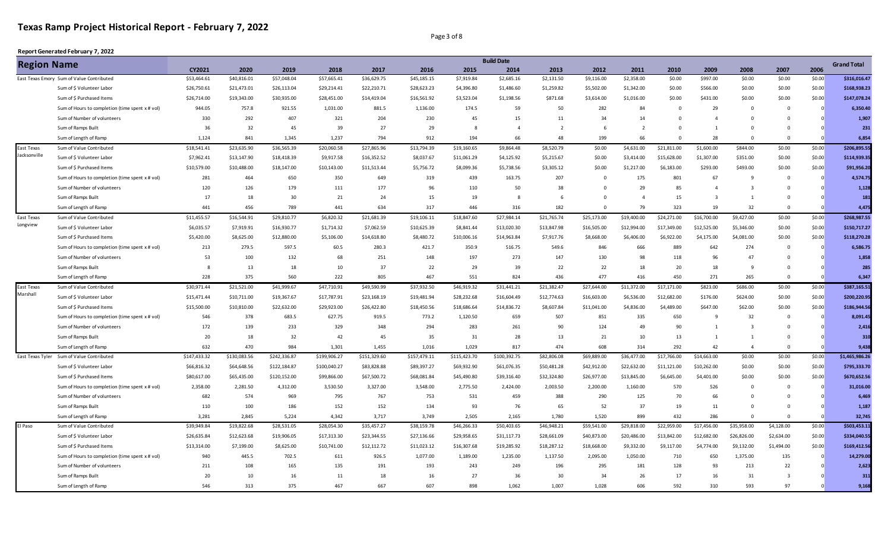#### Page 3 of 8

|                                                                                                                                                                                                                                                                                                                                                                                                                                                                                                                                                                                                                                                                   |                                                 |              |              |              |              |              |              |              | <b>Build Date</b> |                |             |              |             |                |                         |                |             | <b>Grand Total</b> |
|-------------------------------------------------------------------------------------------------------------------------------------------------------------------------------------------------------------------------------------------------------------------------------------------------------------------------------------------------------------------------------------------------------------------------------------------------------------------------------------------------------------------------------------------------------------------------------------------------------------------------------------------------------------------|-------------------------------------------------|--------------|--------------|--------------|--------------|--------------|--------------|--------------|-------------------|----------------|-------------|--------------|-------------|----------------|-------------------------|----------------|-------------|--------------------|
| <b>Region Name</b><br>East Texas Emory Sum of Value Contributed<br>Sum of \$ Volunteer Labor<br>Sum of \$ Purchased Items<br>Sum of Number of volunteers<br>Sum of Ramps Built<br>Sum of Length of Ramp<br>Sum of Value Contributed<br>Jacksonville<br>Sum of \$ Volunteer Labor<br>Sum of \$ Purchased Items<br>Sum of Number of volunteers<br>Sum of Ramps Built<br>Sum of Length of Ramp<br>Sum of Value Contributed<br>Sum of \$ Volunteer Labor<br>Sum of \$ Purchased Items<br>Sum of Number of volunteers<br>Sum of Ramps Built<br>Sum of Length of Ramp<br>Sum of Value Contributed<br>Marshall<br>Sum of \$ Volunteer Labor<br>Sum of \$ Purchased Items |                                                 | CY2021       | 2020         | 2019         | 2018         | 2017         | 2016         | 2015         | 2014              | 2013           | 2012        | 2011         | 2010        | 2009           | 2008                    | 2007           | 2006        |                    |
|                                                                                                                                                                                                                                                                                                                                                                                                                                                                                                                                                                                                                                                                   |                                                 | \$53,464.61  | \$40,816.01  | \$57,048.04  | \$57,665.41  | \$36,629.75  | \$45,185.15  | \$7,919.84   | \$2,685.16        | \$2,131.50     | \$9,116.00  | \$2,358.00   | \$0.00      | \$997.00       | \$0.00                  | \$0.00         | \$0.00      | \$316,016.47       |
|                                                                                                                                                                                                                                                                                                                                                                                                                                                                                                                                                                                                                                                                   |                                                 | \$26,750.61  | \$21,473.01  | \$26,113.04  | \$29,214.41  | \$22,210.71  | \$28,623.23  | \$4,396.80   | \$1,486.60        | \$1,259.82     | \$5,502.00  | \$1,342.00   | \$0.00      | \$566.00       | \$0.00                  | \$0.00         | \$0.00      | \$168,938.23       |
|                                                                                                                                                                                                                                                                                                                                                                                                                                                                                                                                                                                                                                                                   |                                                 | \$26,714.00  | \$19,343.00  | \$30,935.00  | \$28,451.00  | \$14,419.04  | \$16,561.92  | \$3,523.04   | \$1,198.56        | \$871.68       | \$3,614.00  | \$1,016.00   | \$0.00      | \$431.00       | \$0.00                  | \$0.00         | \$0.00      | \$147.078.24       |
|                                                                                                                                                                                                                                                                                                                                                                                                                                                                                                                                                                                                                                                                   | Sum of Hours to completion (time spent x # vol) | 944.05       | 757.8        | 921.55       | 1,031.00     | 881.5        | 1,136.00     | 174.5        | 59                | 50             | 282         | 84           |             | 29             | $\mathbf{0}$            | $\Omega$       | $\Omega$    | 6,350.40           |
|                                                                                                                                                                                                                                                                                                                                                                                                                                                                                                                                                                                                                                                                   |                                                 | 330          | 292          | 407          | 321          | 204          | 230          | 45           | 15                | 11             | 34          | 14           | $\Omega$    | $\Delta$       | $\Omega$                | $\Omega$       |             | 1,907              |
|                                                                                                                                                                                                                                                                                                                                                                                                                                                                                                                                                                                                                                                                   |                                                 | 36           | 32           | 45           | 39           | 27           | 29           | 8            | $\overline{4}$    | $\overline{2}$ | 6           |              | $\Omega$    | 1              | $\Omega$                | $\Omega$       |             | 231                |
|                                                                                                                                                                                                                                                                                                                                                                                                                                                                                                                                                                                                                                                                   |                                                 | 1,124        | 841          | 1,345        | 1,237        | 794          | 912          | 194          | 66                | 48             | 199         | 66           | $\Omega$    | 28             | $\Omega$                | $\Omega$       |             | 6,854              |
| East Texas                                                                                                                                                                                                                                                                                                                                                                                                                                                                                                                                                                                                                                                        |                                                 | \$18,541.41  | \$23,635.90  | \$36,565.39  | \$20,060.58  | \$27,865.96  | \$13,794.39  | \$19,160.65  | \$9,864.48        | \$8,520.79     | \$0.00      | \$4,631.00   | \$21,811.00 | \$1,600.00     | \$844.00                | \$0.00         | \$0.00      | \$206,895.55       |
|                                                                                                                                                                                                                                                                                                                                                                                                                                                                                                                                                                                                                                                                   |                                                 | \$7,962.41   | \$13,147.90  | \$18,418.39  | \$9,917.58   | \$16,352.52  | \$8,037.67   | \$11,061.29  | \$4,125.92        | \$5,215.67     | \$0.00      | \$3,414.00   | \$15,628.00 | \$1,307.00     | \$351.00                | \$0.00         | \$0.00      | \$114,939.35       |
|                                                                                                                                                                                                                                                                                                                                                                                                                                                                                                                                                                                                                                                                   |                                                 | \$10,579.00  | \$10,488.00  | \$18,147.00  | \$10,143.00  | \$11,513.44  | \$5,756.72   | \$8,099.36   | \$5,738.56        | \$3,305.12     | \$0.00      | \$1,217.00   | \$6,183.00  | \$293.00       | \$493.00                | \$0.00         | \$0.00      | \$91,956.20        |
|                                                                                                                                                                                                                                                                                                                                                                                                                                                                                                                                                                                                                                                                   | Sum of Hours to completion (time spent x # vol) | 281          | 464          | 650          | 350          | 649          | 319          | 439          | 163.75            | 207            | $\mathbf 0$ | 175          | 801         | 67             | 9                       | $\mathbf 0$    | $\mathbf 0$ | 4,574.75           |
|                                                                                                                                                                                                                                                                                                                                                                                                                                                                                                                                                                                                                                                                   |                                                 | 120          | 126          | 179          | 111          | 177          | 96           | 110          | 50                | 38             | $\Omega$    | 29           | 85          | $\Delta$       | $\overline{\mathbf{3}}$ | $\Omega$       | $\cap$      | 1,128              |
|                                                                                                                                                                                                                                                                                                                                                                                                                                                                                                                                                                                                                                                                   |                                                 | 17           | 18           | 30           | 21           | 24           | 15           | 19           | 8                 | 6              | $\Omega$    | $\mathbf{A}$ | 15          | $\overline{3}$ | $\overline{1}$          | $\Omega$       | $\Omega$    | 181                |
|                                                                                                                                                                                                                                                                                                                                                                                                                                                                                                                                                                                                                                                                   |                                                 | 441          | 456          | 789          | 441          | 634          | 317          | 446          | 316               | 182            | $\Omega$    | 79           | 323         | 19             | 32                      | $\Omega$       |             | 4,475              |
| East Texas                                                                                                                                                                                                                                                                                                                                                                                                                                                                                                                                                                                                                                                        |                                                 | \$11,455.57  | \$16,544.91  | \$29,810.77  | \$6,820.32   | \$21,681.39  | \$19,106.11  | \$18,847.60  | \$27,984.14       | \$21,765.74    | \$25,173.00 | \$19,400.00  | \$24,271.00 | \$16,700.00    | \$9,427.00              | \$0.00         | \$0.00      | \$268,987.55       |
| Longview                                                                                                                                                                                                                                                                                                                                                                                                                                                                                                                                                                                                                                                          |                                                 | \$6,035.57   | \$7,919.91   | \$16,930.77  | \$1,714.32   | \$7,062.59   | \$10,625.39  | \$8,841.44   | \$13,020.30       | \$13,847.98    | \$16,505.00 | \$12,994.00  | \$17,349.00 | \$12,525.00    | \$5,346.00              | \$0.00         | \$0.00      | \$150,717.27       |
|                                                                                                                                                                                                                                                                                                                                                                                                                                                                                                                                                                                                                                                                   |                                                 | \$5,420.00   | \$8,625.00   | \$12,880.00  | \$5,106.00   | \$14,618.80  | \$8,480.72   | \$10,006.16  | \$14,963.84       | \$7,917.76     | \$8,668.00  | \$6,406.00   | \$6,922.00  | \$4,175.00     | \$4,081.00              | \$0.00         | \$0.00      | \$118,270.28       |
|                                                                                                                                                                                                                                                                                                                                                                                                                                                                                                                                                                                                                                                                   | Sum of Hours to completion (time spent x # vol) | 213          | 279.5        | 597.5        | 60.5         | 280.3        | 421.7        | 350.9        | 516.75            | 549.6          | 846         | 666          | 889         | 642            | 274                     | $\mathbf 0$    | $\Omega$    | 6,586.75           |
|                                                                                                                                                                                                                                                                                                                                                                                                                                                                                                                                                                                                                                                                   |                                                 | 53           | 100          | 132          | 68           | 251          | 148          | 197          | 273               | 147            | 130         | 98           | 118         | 96             | 47                      | $\Omega$       |             | 1.858              |
|                                                                                                                                                                                                                                                                                                                                                                                                                                                                                                                                                                                                                                                                   |                                                 |              | 13           | 18           | 10           | 37           | 22           | 29           | 39                | 22             | 22          | 18           | 20          | 18             | -9                      | $\Omega$       |             | 285                |
|                                                                                                                                                                                                                                                                                                                                                                                                                                                                                                                                                                                                                                                                   |                                                 | 228          | 375          | 560          | 222          | 805          | 467          | 551          | 824               | 436            | 477         | 416          | 450         | 271            | 265                     | $\Omega$       |             | 6,347              |
| East Texas                                                                                                                                                                                                                                                                                                                                                                                                                                                                                                                                                                                                                                                        |                                                 | \$30,971.44  | \$21,521.00  | \$41,999.67  | \$47,710.91  | \$49,590.99  | \$37,932.50  | \$46,919.32  | \$31,441.21       | \$21,382.47    | \$27,644.00 | \$11,372.00  | \$17,171.00 | \$823.00       | \$686.00                | \$0.00         | \$0.00      | \$387,165.51       |
|                                                                                                                                                                                                                                                                                                                                                                                                                                                                                                                                                                                                                                                                   |                                                 | \$15,471.44  | \$10,711.00  | \$19,367.67  | \$17,787.91  | \$23,168.19  | \$19,481.94  | \$28,232.68  | \$16,604.49       | \$12,774.63    | \$16,603.00 | \$6,536.00   | \$12,682.00 | \$176.00       | \$624.00                | \$0.00         | \$0.00      | \$200,220.95       |
|                                                                                                                                                                                                                                                                                                                                                                                                                                                                                                                                                                                                                                                                   |                                                 | \$15,500.00  | \$10,810.00  | \$22,632.00  | \$29,923.00  | \$26,422.80  | \$18,450.56  | \$18,686.64  | \$14,836.72       | \$8,607.84     | \$11,041.00 | \$4,836.00   | \$4,489.00  | \$647.00       | \$62.00                 | \$0.00         | \$0.00      | \$186,944.56       |
|                                                                                                                                                                                                                                                                                                                                                                                                                                                                                                                                                                                                                                                                   | Sum of Hours to completion (time spent x # vol) | 546          | 378          | 683.5        | 627.75       | 919.5        | 773.2        | 1,120.50     | 659               | 507            | 851         | 335          | 650         | 9              | 32                      | $\Omega$       | $\Omega$    | 8,091.45           |
|                                                                                                                                                                                                                                                                                                                                                                                                                                                                                                                                                                                                                                                                   | Sum of Number of volunteers                     | 172          | 139          | 233          | 329          | 348          | 294          | 283          | 261               | 90             | 124         | 49           | 90          | $\mathbf{1}$   | $\overline{3}$          | $\Omega$       |             | 2,416              |
|                                                                                                                                                                                                                                                                                                                                                                                                                                                                                                                                                                                                                                                                   | Sum of Ramps Built                              | 20           | 18           | 32           | 42           | 45           | 35           | 31           | 28                | 13             | 21          | 10           | 13          | $\mathbf{1}$   | 1                       | $\Omega$       |             | 310                |
|                                                                                                                                                                                                                                                                                                                                                                                                                                                                                                                                                                                                                                                                   | Sum of Length of Ramp                           | 632          | 470          | 984          | 1,301        | 1,455        | 1,016        | 1,029        | 817               | 474            | 608         | 314          | 292         | 42             | $\overline{4}$          | $\Omega$       |             | 9,438              |
| East Texas Tyler                                                                                                                                                                                                                                                                                                                                                                                                                                                                                                                                                                                                                                                  | Sum of Value Contributed                        | \$147,433.32 | \$130,083.56 | \$242,336.87 | \$199,906.27 | \$151,329.60 | \$157,479.11 | \$115,423.70 | \$100,392.75      | \$82,806.08    | \$69,889.00 | \$36,477.00  | \$17,766.00 | \$14,663.00    | \$0.00                  | \$0.00         | \$0.00      | \$1,465,986.26     |
|                                                                                                                                                                                                                                                                                                                                                                                                                                                                                                                                                                                                                                                                   | Sum of \$ Volunteer Labor                       | \$66,816.32  | \$64,648.56  | \$122,184.87 | \$100,040.27 | \$83,828.88  | \$89,397.27  | \$69,932.90  | \$61,076.35       | \$50,481.28    | \$42,912.00 | \$22,632.00  | \$11,121.00 | \$10,262.00    | \$0.00                  | \$0.00         | \$0.00      | \$795,333.70       |
|                                                                                                                                                                                                                                                                                                                                                                                                                                                                                                                                                                                                                                                                   | Sum of \$ Purchased Items                       | \$80,617.00  | \$65,435.00  | \$120,152.00 | \$99,866.00  | \$67,500.72  | \$68,081.84  | \$45,490.80  | \$39,316.40       | \$32,324.80    | \$26,977.00 | \$13,845.00  | \$6,645.00  | \$4,401.00     | \$0.00                  | \$0.00         | \$0.00      | \$670,652.56       |
|                                                                                                                                                                                                                                                                                                                                                                                                                                                                                                                                                                                                                                                                   | Sum of Hours to completion (time spent x # vol) | 2,358.00     | 2.281.50     | 4.312.00     | 3.530.50     | 3.327.00     | 3,548.00     | 2,775.50     | 2.424.00          | 2,003.50       | 2,200.00    | 1,160.00     | 570         | 526            | $\Omega$                | $\Omega$       | $\Omega$    | 31.016.00          |
|                                                                                                                                                                                                                                                                                                                                                                                                                                                                                                                                                                                                                                                                   | Sum of Number of volunteers                     | 682          | 574          | 969          | 795          | 767          | 753          | 531          | 459               | 388            | 290         | 125          | 70          | 66             | $\Omega$                | $\Omega$       |             | 6,469              |
|                                                                                                                                                                                                                                                                                                                                                                                                                                                                                                                                                                                                                                                                   | Sum of Ramps Built                              | 110          | 100          | 186          | 152          | 152          | 134          | 93           | 76                | 65             | 52          | 37           | 19          | 11             | $\mathbf 0$             | $^{\circ}$     |             | 1,187              |
|                                                                                                                                                                                                                                                                                                                                                                                                                                                                                                                                                                                                                                                                   | Sum of Length of Ramp                           | 3,281        | 2,845        | 5,224        | 4,342        | 3,717        | 3,749        | 2,505        | 2,165             | 1,780          | 1,520       | 899          | 432         | 286            | $\Omega$                | $\Omega$       | $\Omega$    | 32,745             |
| El Paso                                                                                                                                                                                                                                                                                                                                                                                                                                                                                                                                                                                                                                                           | Sum of Value Contributed                        | \$39,949.84  | \$19,822.68  | \$28,531.05  | \$28,054.30  | \$35,457.27  | \$38,159.78  | \$46,266.33  | \$50,403.65       | \$46,948.21    | \$59,541.00 | \$29,818.00  | \$22,959.00 | \$17,456.00    | \$35,958.00             | \$4,128.00     | \$0.00      | \$503,453.11       |
|                                                                                                                                                                                                                                                                                                                                                                                                                                                                                                                                                                                                                                                                   | Sum of \$ Volunteer Labor                       | \$26,635.84  | \$12,623.68  | \$19,906.05  | \$17,313.30  | \$23,344.55  | \$27,136.66  | \$29,958.65  | \$31,117.73       | \$28,661.09    | \$40,873.00 | \$20,486.00  | \$13,842.00 | \$12,682.00    | \$26,826.00             | \$2,634.00     | \$0.00      | \$334,040.55       |
|                                                                                                                                                                                                                                                                                                                                                                                                                                                                                                                                                                                                                                                                   | Sum of \$ Purchased Items                       | \$13,314.00  | \$7,199.00   | \$8,625.00   | \$10,741.00  | \$12,112.72  | \$11,023.12  | \$16,307.68  | \$19,285.92       | \$18,287.12    | \$18,668.00 | \$9,332.00   | \$9,117.00  | \$4,774.00     | \$9,132.00              | \$1,494.00     | \$0.00      | \$169,412.56       |
|                                                                                                                                                                                                                                                                                                                                                                                                                                                                                                                                                                                                                                                                   | Sum of Hours to completion (time spent x # vol) | 940          | 445.5        | 702.5        | 611          | 926.5        | 1,077.00     | 1,189.00     | 1,235.00          | 1,137.50       | 2,095.00    | 1,050.00     | 710         | 650            | 1,375.00                | 135            |             | 14,279.00          |
|                                                                                                                                                                                                                                                                                                                                                                                                                                                                                                                                                                                                                                                                   | Sum of Number of volunteers                     | 211          | 108          | 165          | 135          | 191          | 193          | 243          | 249               | 196            | 295         | 181          | 128         | 93             | 213                     | 22             |             | 2,623              |
|                                                                                                                                                                                                                                                                                                                                                                                                                                                                                                                                                                                                                                                                   | Sum of Ramps Built                              | 20           | 10           | 16           | 11           | 18           | 16           | 27           | 36                | 30             | 34          | 26           | 17          | 16             | 31                      | $\overline{3}$ |             | 311                |
|                                                                                                                                                                                                                                                                                                                                                                                                                                                                                                                                                                                                                                                                   | Sum of Length of Ramp                           | 546          | 313          | 375          | 467          | 667          | 607          | 898          | 1.062             | 1,007          | 1,028       | 606          | 592         | 310            | 593                     | 97             |             | 9,168              |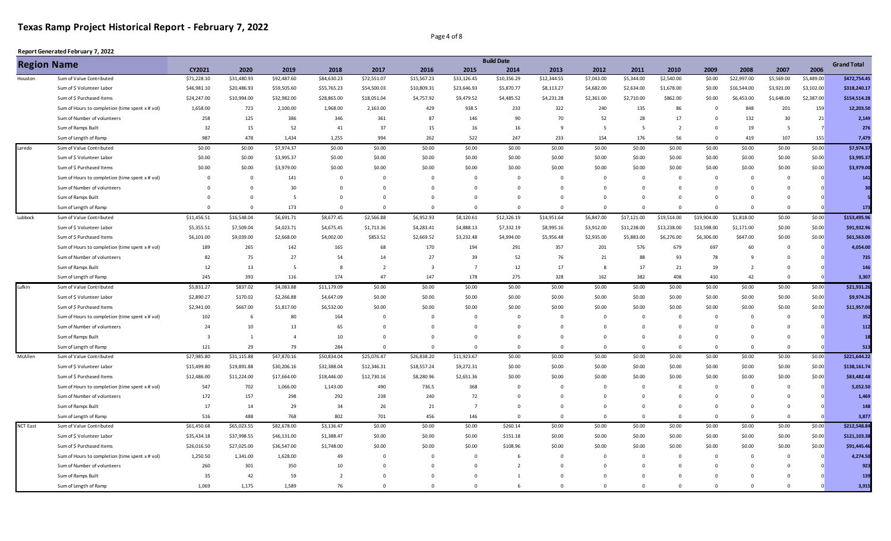#### Page 4 of 8

| <b>Region Name</b> |                                                 |             |                         |                |                |                |                         |                | <b>Build Date</b> |                |             |                |                |             |                |                |                | <b>Grand Total</b> |
|--------------------|-------------------------------------------------|-------------|-------------------------|----------------|----------------|----------------|-------------------------|----------------|-------------------|----------------|-------------|----------------|----------------|-------------|----------------|----------------|----------------|--------------------|
|                    |                                                 | CY2021      | 2020                    | 2019           | 2018           | 2017           | 2016                    | 2015           | 2014              | 2013           | 2012        | 2011           | 2010           | 2009        | 2008           | 2007           | 2006           |                    |
| Houston            | Sum of Value Contributed                        | \$71,228.10 | \$31,480.93             | \$92,487.60    | \$84,630.23    | \$72,551.07    | \$15,567.23             | \$33,126.45    | \$10,356.29       | \$12,344.55    | \$7,043.00  | \$5,344.00     | \$2,540.00     | \$0.00      | \$22,997.00    | \$5,569.00     | \$5,489.00     | \$472,754.45       |
|                    | Sum of \$ Volunteer Labor                       | \$46,981.10 | \$20,486.93             | \$59,505.60    | \$55,765.23    | \$54,500.03    | \$10,809.31             | \$23,646.93    | \$5,870.77        | \$8,113.27     | \$4,682.00  | \$2,634.00     | \$1,678.00     | \$0.00      | \$16,544.00    | \$3,921.00     | \$3,102.00     | \$318,240.17       |
|                    | Sum of \$ Purchased Items                       | \$24,247.00 | \$10,994.00             | \$32,982.00    | \$28,865.00    | \$18,051.04    | \$4,757.92              | \$9,479.52     | \$4,485.52        | \$4,231.28     | \$2,361.00  | \$2,710.00     | \$862.00       | \$0.00      | \$6,453.00     | \$1,648.00     | \$2,387.00     | \$154,514.28       |
|                    | Sum of Hours to completion (time spent x # vol) | 1,658.00    | 723                     | 2,100.00       | 1,968.00       | 2,163.00       | 429                     | 938.5          | 233               | 322            | 240         | 135            | 86             | $\mathbf 0$ | 848            | 201            | 159            | 12,203.50          |
|                    | Sum of Number of volunteers                     | 258         | 125                     | 386            | 346            | 361            | 87                      | 146            | 90                | 70             | 52          | 28             | 17             | 0           | 132            | 30             | 21             | 2,149              |
|                    | Sum of Ramps Built                              | 32          | 15                      | 52             | 41             | 37             | 15                      | 16             | 16                | -9             | 5           |                | $\overline{2}$ | $\Omega$    | 19             | 5 <sup>5</sup> | $\overline{7}$ | 276                |
|                    | Sum of Length of Ramp                           | 987         | 478                     | 1,434          | 1,255          | 994            | 262                     | 522            | 247               | 233            | 154         | 176            | 56             | $\Omega$    | 419            | 107            | 155            | 7,479              |
| Laredo             | Sum of Value Contributed                        | \$0.00      | \$0.00                  | \$7,974.37     | \$0.00         | \$0.00         | \$0.00                  | \$0.00         | \$0.00            | \$0.00         | \$0.00      | \$0.00         | \$0.00         | \$0.00      | \$0.00         | \$0.00         | \$0.00         | \$7,974.37         |
|                    | Sum of \$ Volunteer Labor                       | \$0.00      | \$0.00                  | \$3,995.37     | \$0.00         | \$0.00         | \$0.00                  | \$0.00         | \$0.00            | \$0.00         | \$0.00      | \$0.00         | \$0.00         | \$0.00      | \$0.00         | \$0.00         | \$0.00         | \$3,995.37         |
|                    | Sum of \$ Purchased Items                       | \$0.00      | \$0.00                  | \$3,979.00     | \$0.00         | \$0.00         | \$0.00                  | \$0.00         | \$0.00            | \$0.00         | \$0.00      | \$0.00         | \$0.00         | \$0.00      | \$0.00         | \$0.00         | \$0.00         | \$3,979.00         |
|                    | Sum of Hours to completion (time spent x # vol) | $\Omega$    | $\overline{0}$          | 141            | $\mathbf 0$    | $\Omega$       | $\mathbf 0$             | $\mathbf{0}$   | $\Omega$          | $\Omega$       | $\Omega$    | $\Omega$       | $\Omega$       | $\Omega$    | $\mathbf{0}$   | $\Omega$       | $\Omega$       | 141                |
|                    | Sum of Number of volunteers                     | $\Omega$    | $\Omega$                | 30             | $\mathbf 0$    | $\mathbf 0$    | $\mathbf 0$             | $^{\circ}$     | $\mathbf{0}$      | $\Omega$       | $\Omega$    | $\Omega$       | $\Omega$       | $\Omega$    | $\overline{0}$ | $\Omega$       |                | 30                 |
|                    | Sum of Ramps Built                              | $\Omega$    | $\overline{\mathbf{0}}$ | 5              | $\mathbf 0$    | $^{\circ}$     | $\mathbf 0$             | $\mathbf{0}$   | $\mathbf{0}$      | $\mathbf{0}$   | $\mathbf 0$ | $\mathbf{0}$   | $\overline{0}$ | 0           | $\mathbf 0$    | $\overline{0}$ |                |                    |
|                    | Sum of Length of Ramp                           | $\Omega$    | $\Omega$                | 173            | $\Omega$       | $\Omega$       | $\Omega$                | $\Omega$       | $\Omega$          | $\Omega$       | $\Omega$    | $\Omega$       | $\Omega$       | $\Omega$    | $\Omega$       | $\Omega$       |                | 173                |
| Lubbock            | Sum of Value Contributed                        | \$11,456.51 | \$16,548.04             | \$6,691.71     | \$8,677.45     | \$2,566.88     | \$6,952.93              | \$8,120.61     | \$12,326.19       | \$14,951.64    | \$6,847.00  | \$17,121.00    | \$19,514.00    | \$19,904.00 | \$1,818.00     | \$0.00         | \$0.00         | \$153,495.96       |
|                    | Sum of \$ Volunteer Labor                       | \$5,355.51  | \$7,509.04              | \$4,023.71     | \$4,675.45     | \$1,713.36     | \$4,283.41              | \$4,888.13     | \$7,332.19        | \$8,995.16     | \$3,912.00  | \$11,238.00    | \$13,238.00    | \$13,598.00 | \$1,171.00     | \$0.00         | \$0.00         | \$91,932.96        |
|                    | Sum of \$ Purchased Items                       | \$6,101.00  | \$9,039.00              | \$2,668.00     | \$4,002.00     | \$853.52       | \$2,669.52              | \$3,232.48     | \$4,994.00        | \$5,956.48     | \$2,935.00  | \$5,883.00     | \$6,276.00     | \$6,306.00  | \$647.00       | \$0.00         | \$0.00         | \$61,563.00        |
|                    | Sum of Hours to completion (time spent x # vol) | 189         | 265                     | 142            | 165            | 68             | 170                     | 194            | 291               | 357            | 201         | 576            | 679            | 697         | 60             | $\overline{0}$ |                | 4,054.00           |
|                    | Sum of Number of volunteers                     | 82          | 75                      | 27             | 54             | 14             | 27                      | 39             | 52                | 76             | 21          | 88             | 93             | 78          | $\mathbf{q}$   | $\Omega$       |                | 735                |
|                    | Sum of Ramps Built                              | 12          | 13                      | 5              | 8              | $\overline{2}$ | $\overline{\mathbf{3}}$ | $\overline{7}$ | 12                | 17             | 8           | 17             | 21             | 19          | $\overline{2}$ | $\overline{0}$ |                | 146                |
|                    | Sum of Length of Ramp                           | 245         | 393                     | 116            | 174            | 47             | 147                     | 178            | 275               | 328            | 162         | 382            | 408            | 410         | 42             | $\Omega$       |                | 3,307              |
| Lufkin             | Sum of Value Contributed                        | \$5,831.27  | \$837.02                | \$4,083.88     | \$11,179.09    | \$0.00         | \$0.00                  | \$0.00         | \$0.00            | \$0.00         | \$0.00      | \$0.00         | \$0.00         | \$0.00      | \$0.00         | \$0.00         | \$0.00         | \$21,931.26        |
|                    | Sum of \$ Volunteer Labor                       | \$2,890.27  | \$170.02                | \$2,266.88     | \$4,647.09     | \$0.00         | \$0.00                  | \$0.00         | \$0.00            | \$0.00         | \$0.00      | \$0.00         | \$0.00         | \$0.00      | \$0.00         | \$0.00         | \$0.00         | \$9,974.26         |
|                    | Sum of \$ Purchased Items                       | \$2,941.00  | \$667.00                | \$1,817.00     | \$6,532.00     | \$0.00         | \$0.00                  | \$0.00         | \$0.00            | \$0.00         | \$0.00      | \$0.00         | \$0.00         | \$0.00      | \$0.00         | \$0.00         | \$0.00         | \$11,957.00        |
|                    | Sum of Hours to completion (time spent x # vol) | 102         | 6                       | 80             | 164            | $^{\circ}$     | $\mathbf 0$             | $\mathbf{0}$   | $\mathbf 0$       | $\Omega$       | $\mathbf 0$ | $\Omega$       | $\Omega$       | $\Omega$    | $\mathbf{0}$   | $\Omega$       |                | 352                |
|                    | Sum of Number of volunteers                     | 24          | 10                      | 13             | 65             | $\Omega$       | $\Omega$                | $\Omega$       | $\mathbf 0$       | $\Omega$       | $\Omega$    | $\Omega$       | $\Omega$       | $\Omega$    | $\Omega$       | $\Omega$       |                | 112                |
|                    | Sum of Ramps Built                              |             | 1                       | $\overline{4}$ | 10             | $\mathbf 0$    | $\mathbf 0$             | $\overline{0}$ | $\mathbf{0}$      | $\mathbf{0}$   | $\mathbf 0$ | $\Omega$       | $\Omega$       | $\Omega$    | $\overline{0}$ | $\overline{0}$ |                |                    |
|                    | Sum of Length of Ramp                           | 121         | 29                      | 79             | 284            | $\Omega$       | $\Omega$                | $\Omega$       | $\Omega$          | $\Omega$       | $\Omega$    | $\Omega$       | $\Omega$       | $\Omega$    | $\Omega$       | $\Omega$       |                | 513                |
| McAllen            | Sum of Value Contributed                        | \$27,985.80 | \$31,115.88             | \$47,870.16    | \$50,834.04    | \$25,076.47    | \$26,838.20             | \$11,923.67    | \$0.00            | \$0.00         | \$0.00      | \$0.00         | \$0.00         | \$0.00      | \$0.00         | \$0.00         | \$0.00         | \$221,644.22       |
|                    | Sum of \$ Volunteer Labor                       | \$15,499.80 | \$19,891.88             | \$30,206.16    | \$32,388.04    | \$12,346.31    | \$18,557.24             | \$9,272.31     | \$0.00            | \$0.00         | \$0.00      | \$0.00         | \$0.00         | \$0.00      | \$0.00         | \$0.00         | \$0.00         | \$138,161.74       |
|                    | Sum of \$ Purchased Items                       | \$12,486.00 | \$11,224.00             | \$17,664.00    | \$18,446.00    | \$12,730.16    | \$8,280.96              | \$2,651.36     | \$0.00            | \$0.00         | \$0.00      | \$0.00         | \$0.00         | \$0.00      | \$0.00         | \$0.00         | \$0.00         | \$83,482.48        |
|                    | Sum of Hours to completion (time spent x # vol) | 547         | 702                     | 1,066.00       | 1,143.00       | 490            | 736.5                   | 368            | $\mathbf 0$       | $\Omega$       | $\mathbf 0$ | $\Omega$       | $\Omega$       | $\Omega$    | $\overline{0}$ | $\Omega$       | $\Omega$       | 5,052.50           |
|                    | Sum of Number of volunteers                     | 172         | 157                     | 298            | 292            | 238            | 240                     | 72             | $\mathbf 0$       | $\Omega$       | $\Omega$    | $\Omega$       | $\Omega$       | $\Omega$    | $\overline{0}$ | $\Omega$       |                | 1,469              |
|                    | Sum of Ramps Built                              | 17          | 14                      | 29             | 34             | 26             | 21                      | $\overline{7}$ | $\mathbf{0}$      | $\Omega$       | $\Omega$    | $\Omega$       | $\Omega$       | $\Omega$    | $\Omega$       | $\Omega$       |                | 148                |
|                    | Sum of Length of Ramp                           | 516         | 488                     | 768            | 802            | 701            | 456                     | 146            | $\mathbf{0}$      | $\overline{0}$ | $\Omega$    | $\overline{0}$ | $\Omega$       | $\Omega$    | $\overline{0}$ | $\Omega$       |                | 3,877              |
| <b>NCT East</b>    | Sum of Value Contributed                        | \$61,450.68 | \$65,023.55             | \$82,678.00    | \$3,136.47     | \$0.00         | \$0.00                  | \$0.00         | \$260.14          | \$0.00         | \$0.00      | \$0.00         | \$0.00         | \$0.00      | \$0.00         | \$0.00         | \$0.00         | \$212,548.84       |
|                    | Sum of \$ Volunteer Labor                       | \$35,434.18 | \$37,998.55             | \$46,131.00    | \$1,388.47     | \$0.00         | \$0.00                  | \$0.00         | \$151.18          | \$0.00         | \$0.00      | \$0.00         | \$0.00         | \$0.00      | \$0.00         | \$0.00         | \$0.00         | \$121,103.38       |
|                    | Sum of \$ Purchased Items                       | \$26,016.50 | \$27,025.00             | \$36,547.00    | \$1,748.00     | \$0.00         | \$0.00                  | \$0.00         | \$108.96          | \$0.00         | \$0.00      | \$0.00         | \$0.00         | \$0.00      | \$0.00         | \$0.00         | \$0.00         | \$91,445.46        |
|                    | Sum of Hours to completion (time spent x # vol) | 1,250.50    | 1,341.00                | 1,628.00       | 49             | $\Omega$       | $\mathsf 0$             | $\mathbf 0$    | 6                 | $\Omega$       | $\Omega$    | $\Omega$       | $\Omega$       | $\Omega$    | $\overline{0}$ | $\Omega$       |                | 4,274.50           |
|                    | Sum of Number of volunteers                     | 260         | 301                     | 350            | 10             | $\Omega$       | $\Omega$                | $\Omega$       | $\overline{2}$    | $\Omega$       | $\Omega$    | $\Omega$       | $\Omega$       | $\Omega$    | $\Omega$       | $\Omega$       |                | 923                |
|                    | Sum of Ramps Built                              | 35          | 42                      | 59             | $\overline{2}$ | $\Omega$       | $\mathbf 0$             | $\mathbf 0$    | $\mathbf{1}$      | $\Omega$       | $\mathbf 0$ |                | $\Omega$       | $\Omega$    | 0              | $\Omega$       |                | 139                |
|                    | Sum of Length of Ramp                           | 1.069       | 1,175                   | 1.589          | 76             | $\Omega$       | $\Omega$                | $\Omega$       | 6                 | $\Omega$       | $\Omega$    | $\Omega$       | $\Omega$       | $\Omega$    | $\Omega$       | $\Omega$       |                | 3,915              |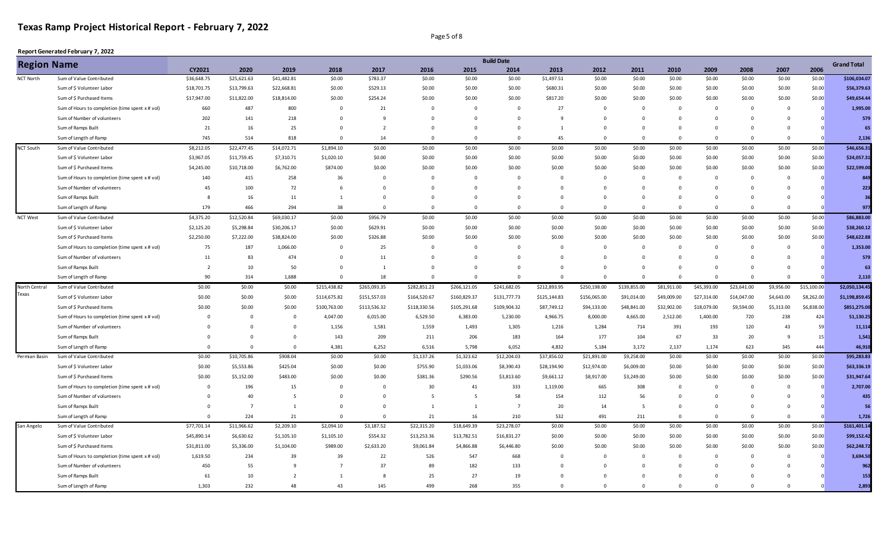Page 5 of 8

| <b>Region Name</b> |                                                 |                |                |                |                |                |              |              | <b>Build Date</b> |                |              |                |                |             |                |                |             | <b>Grand Total</b> |
|--------------------|-------------------------------------------------|----------------|----------------|----------------|----------------|----------------|--------------|--------------|-------------------|----------------|--------------|----------------|----------------|-------------|----------------|----------------|-------------|--------------------|
|                    |                                                 | CY2021         | 2020           | 2019           | 2018           | 2017           | 2016         | 2015         | 2014              | 2013           | 2012         | 2011           | 2010           | 2009        | 2008           | 2007           | 2006        |                    |
| NCT North          | Sum of Value Contributed                        | \$36,648.75    | \$25,621.63    | \$41,482.81    | \$0.00         | \$783.37       | \$0.00       | \$0.00       | \$0.00            | \$1,497.51     | \$0.00       | \$0.00         | \$0.00         | \$0.00      | \$0.00         | \$0.00         | \$0.00      | \$106,034.07       |
|                    | Sum of \$ Volunteer Labor                       | \$18,701.75    | \$13,799.63    | \$22,668.81    | \$0.00         | \$529.13       | \$0.00       | \$0.00       | \$0.00            | \$680.31       | \$0.00       | \$0.00         | \$0.00         | \$0.00      | \$0.00         | \$0.00         | \$0.00      | \$56,379.63        |
|                    | Sum of \$ Purchased Items                       | \$17,947.00    | \$11,822.00    | \$18,814.00    | \$0.00         | \$254.24       | \$0.00       | \$0.00       | \$0.00            | \$817.20       | \$0.00       | \$0.00         | \$0.00         | \$0.00      | \$0.00         | \$0.00         | \$0.00      | \$49,654.44        |
|                    | Sum of Hours to completion (time spent x # vol) | 660            | 487            | 800            | $\mathbf 0$    | 21             | $\mathbf 0$  | $\mathbf 0$  | $\mathbf 0$       | 27             | $\Omega$     | $\Omega$       | $\Omega$       | $\Omega$    | $\overline{0}$ | $\Omega$       | $\Omega$    | 1,995.00           |
|                    | Sum of Number of volunteers                     | 202            | 141            | 218            | $\mathbf 0$    | 9              | $\mathbf 0$  | $\mathbf 0$  | $\mathbf 0$       | 9              | $\Omega$     | $\Omega$       | $\Omega$       | $\Omega$    | $\Omega$       | $\Omega$       |             | 579                |
|                    | Sum of Ramps Built                              | 21             | 16             | 25             | $\mathbf 0$    | $\overline{2}$ | $\mathbf 0$  | $\mathbf 0$  | 0                 | $\mathbf{1}$   | $\mathbf 0$  | $\Omega$       | $\overline{0}$ | $\Omega$    | $\mathbf{0}$   | $\overline{0}$ |             | 65                 |
|                    | Sum of Length of Ramp                           | 745            | 514            | 818            | $\mathbf 0$    | 14             | $\mathbf 0$  | $\Omega$     | $\mathbf 0$       | 45             | $\Omega$     | $\Omega$       | $\Omega$       | $\Omega$    | $\Omega$       | $\Omega$       |             | 2,136              |
| <b>NCT South</b>   | Sum of Value Contributed                        | \$8,212.05     | \$22,477.45    | \$14,072.71    | \$1,894.10     | \$0.00         | \$0.00       | \$0.00       | \$0.00            | \$0.00         | \$0.00       | \$0.00         | \$0.00         | \$0.00      | \$0.00         | \$0.00         | \$0.00      | \$46,656.31        |
|                    | Sum of \$ Volunteer Labor                       | \$3,967.05     | \$11,759.45    | \$7,310.71     | \$1,020.10     | \$0.00         | \$0.00       | \$0.00       | \$0.00            | \$0.00         | \$0.00       | \$0.00         | \$0.00         | \$0.00      | \$0.00         | \$0.00         | \$0.00      | \$24,057.31        |
|                    | Sum of \$ Purchased Items                       | \$4,245.00     | \$10,718.00    | \$6,762.00     | \$874.00       | \$0.00         | \$0.00       | \$0.00       | \$0.00            | \$0.00         | \$0.00       | \$0.00         | \$0.00         | \$0.00      | \$0.00         | \$0.00         | \$0.00      | \$22,599.00        |
|                    | Sum of Hours to completion (time spent x # vol) | 140            | 415            | 258            | 36             | $\mathbf 0$    | $\mathsf 0$  | $\mathbf 0$  | $\mathbf{0}$      | $\Omega$       | $\mathbf 0$  | $\Omega$       | $\Omega$       | $\Omega$    | $\overline{0}$ | $\Omega$       | $\Omega$    | 849                |
|                    | Sum of Number of volunteers                     | 45             | 100            | 72             | 6              | $\Omega$       | $\Omega$     | $\Omega$     | $\Omega$          | $\Omega$       | $\Omega$     | $\Omega$       | $\Omega$       | $\Omega$    | $\Omega$       | $\Omega$       |             | 223                |
|                    | Sum of Ramps Built                              | 8              | 16             | 11             | 1              | $\Omega$       | $\mathbf 0$  | $\mathbf{0}$ | $\mathbf 0$       | $\Omega$       | $\Omega$     | $\Omega$       | $\Omega$       | $\Omega$    | $\overline{0}$ | $\Omega$       |             | 36                 |
|                    | Sum of Length of Ramp                           | 179            | 466            | 294            | 38             | $\mathbf 0$    | $\mathbf 0$  | $^{\circ}$   | $\mathbf 0$       | $^{\circ}$     | $^{\circ}$   | $\overline{0}$ | $\overline{0}$ | $^{\circ}$  | $\overline{0}$ | $\overline{0}$ |             | 977                |
| <b>NCT West</b>    | Sum of Value Contributed                        | \$4,375.20     | \$12,520.84    | \$69,030.17    | \$0.00         | \$956.79       | \$0.00       | \$0.00       | \$0.00            | \$0.00         | \$0.00       | \$0.00         | \$0.00         | \$0.00      | \$0.00         | \$0.00         | \$0.00      | \$86,883.00        |
|                    | Sum of \$ Volunteer Labor                       | \$2,125.20     | \$5,298.84     | \$30,206.17    | \$0.00         | \$629.91       | \$0.00       | \$0.00       | \$0.00            | \$0.00         | \$0.00       | \$0.00         | \$0.00         | \$0.00      | \$0.00         | \$0.00         | \$0.00      | \$38,260.12        |
|                    | Sum of \$ Purchased Items                       | \$2,250.00     | \$7,222.00     | \$38,824.00    | \$0.00         | \$326.88       | \$0.00       | \$0.00       | \$0.00            | \$0.00         | \$0.00       | \$0.00         | \$0.00         | \$0.00      | \$0.00         | \$0.00         | \$0.00      | \$48,622.88        |
|                    | Sum of Hours to completion (time spent x # vol) | 75             | 187            | 1,066.00       | $\mathsf 0$    | 25             | $\mathbf 0$  | $\mathbf 0$  | $\mathbf 0$       | 0              | $\mathbf 0$  | $\Omega$       | $\overline{0}$ | $\Omega$    | $\overline{0}$ | $^{\circ}$     |             | 1,353.00           |
|                    | Sum of Number of volunteers                     | 11             | 83             | 474            | $\Omega$       | 11             | $\Omega$     | $\Omega$     | $\Omega$          | $\Omega$       | $\Omega$     | $\Omega$       | $\Omega$       | $\Omega$    | $\Omega$       | $\Omega$       |             | 579                |
|                    | Sum of Ramps Built                              | $\overline{2}$ | 10             | 50             | $\mathbf 0$    | $\mathbf{1}$   | $\mathbf{0}$ | $\mathbf 0$  | $\mathbf{0}$      | $\Omega$       | $\Omega$     | $\Omega$       | $\Omega$       | $\Omega$    | $\Omega$       | $\Omega$       |             | 63                 |
|                    | Sum of Length of Ramp                           | 90             | 314            | 1,688          | $\mathbf 0$    | 18             | $\mathbf 0$  | $\mathbf{0}$ | $\mathbf 0$       | $\mathbf{0}$   | $\Omega$     | $\Omega$       | $\Omega$       | $\mathbf 0$ | $\mathbf 0$    | $\Omega$       |             | 2,110              |
| North Central      | Sum of Value Contributed                        | \$0.00         | \$0.00         | \$0.00         | \$215,438.82   | \$265,093.35   | \$282,851.23 | \$266,121.05 | \$241,682.05      | \$212,893.95   | \$250,198.00 | \$139,855.00   | \$81,911.00    | \$45,393.00 | \$23,641.00    | \$9,956.00     | \$15,100.00 | \$2,050,134.45     |
| Texas              | Sum of \$ Volunteer Labor                       | \$0.00         | \$0.00         | \$0.00         | \$114,675.82   | \$151,557.03   | \$164,520.67 | \$160,829.37 | \$131,777.73      | \$125,144.83   | \$156,065.00 | \$91,014.00    | \$49,009.00    | \$27,314.00 | \$14,047.00    | \$4,643.00     | \$8,262.00  | \$1,198,859.45     |
|                    | Sum of \$ Purchased Items                       | \$0.00         | \$0.00         | \$0.00         | \$100,763.00   | \$113,536.32   | \$118,330.56 | \$105,291.68 | \$109,904.32      | \$87,749.12    | \$94,133.00  | \$48,841.00    | \$32,902.00    | \$18,079.00 | \$9,594.00     | \$5,313.00     | \$6,838.00  | \$851,275.00       |
|                    | Sum of Hours to completion (time spent x # vol) | $\Omega$       | $\mathbf{0}$   | $\mathbf 0$    | 4,047.00       | 6,015.00       | 6,529.50     | 6,383.00     | 5,230.00          | 4,966.75       | 8,000.00     | 4,665.00       | 2,512.00       | 1,400.00    | 720            | 238            | 424         | 51,130.25          |
|                    | Sum of Number of volunteers                     |                | $\Omega$       | $\mathbf 0$    | 1,156          | 1,581          | 1,559        | 1,493        | 1,305             | 1,216          | 1,284        | 714            | 391            | 193         | 120            | 43             | 59          | 11,114             |
|                    | Sum of Ramps Built                              |                | $\Omega$       | $\mathbf 0$    | 143            | 209            | 211          | 206          | 183               | 164            | 177          | 104            | 67             | 33          | 20             | 9              | 15          | 1,541              |
|                    | Sum of Length of Ramp                           | $\Omega$       | $\mathbf 0$    | $\mathbf 0$    | 4,381          | 6,252          | 6,516        | 5,798        | 6,052             | 4,832          | 5,184        | 3,172          | 2,137          | 1,174       | 623            | 345            | 444         | 46,910             |
| Permian Basin      | Sum of Value Contributed                        | \$0.00         | \$10,705.86    | \$908.04       | \$0.00         | \$0.00         | \$1,137.26   | \$1,323.62   | \$12,204.03       | \$37,856.02    | \$21,891.00  | \$9,258.00     | \$0.00         | \$0.00      | \$0.00         | \$0.00         | \$0.00      | \$95,283.83        |
|                    | Sum of \$ Volunteer Labor                       | \$0.00         | \$5,553.86     | \$425.04       | \$0.00         | \$0.00         | \$755.90     | \$1,033.06   | \$8,390.43        | \$28,194.90    | \$12,974.00  | \$6,009.00     | \$0.00         | \$0.00      | \$0.00         | \$0.00         | \$0.00      | \$63,336.19        |
|                    | Sum of \$ Purchased Items                       | \$0.00         | \$5,152.00     | \$483.00       | \$0.00         | \$0.00         | \$381.36     | \$290.56     | \$3,813.60        | \$9,661.12     | \$8,917.00   | \$3,249.00     | \$0.00         | \$0.00      | \$0.00         | \$0.00         | \$0.00      | \$31,947.64        |
|                    | Sum of Hours to completion (time spent x # vol) | $\overline{0}$ | 196            | 15             | $\mathbf 0$    | $^{\circ}$     | 30           | 41           | 333               | 1,119.00       | 665          | 308            | $\overline{0}$ | $\mathbf 0$ | $\overline{0}$ | $^{\circ}$     | $\Omega$    | 2,707.00           |
|                    | Sum of Number of volunteers                     | $\Omega$       | 40             | 5              | $\mathsf 0$    | $\Omega$       | 5            | 5            | 58                | 154            | 112          | 56             | $\Omega$       | $\Omega$    | $\mathbf 0$    | $\Omega$       |             | 435                |
|                    | Sum of Ramps Built                              | $\Omega$       | $\overline{7}$ | 1              | $\mathbf 0$    | $\Omega$       | $\mathbf{1}$ | 1            | $\overline{7}$    | 20             | 14           | -5             | $\Omega$       | $\Omega$    | $\Omega$       | $\Omega$       |             | 56                 |
|                    | Sum of Length of Ramp                           | $\Omega$       | 224            | 21             | $\mathbf 0$    | $\mathbf 0$    | 21           | 16           | 210               | 532            | 491          | 211            | $\Omega$       | $\Omega$    | $\overline{0}$ | $\Omega$       |             | 1,726              |
| San Angelo         | Sum of Value Contributed                        | \$77,701.14    | \$11,966.62    | \$2,209.10     | \$2,094.10     | \$3,187.52     | \$22,315.20  | \$18,649.39  | \$23,278.07       | \$0.00         | \$0.00       | \$0.00         | \$0.00         | \$0.00      | \$0.00         | \$0.00         | \$0.00      | \$161,401.14       |
|                    | Sum of \$ Volunteer Labor                       | \$45,890.14    | \$6,630.62     | \$1,105.10     | \$1,105.10     | \$554.32       | \$13,253.36  | \$13,782.51  | \$16,831.27       | \$0.00         | \$0.00       | \$0.00         | \$0.00         | \$0.00      | \$0.00         | \$0.00         | \$0.00      | \$99,152.42        |
|                    | Sum of \$ Purchased Items                       | \$31,811.00    | \$5,336.00     | \$1,104.00     | \$989.00       | \$2,633.20     | \$9,061.84   | \$4,866.88   | \$6,446.80        | \$0.00         | \$0.00       | \$0.00         | \$0.00         | \$0.00      | \$0.00         | \$0.00         | \$0.00      | \$62,248.72        |
|                    | Sum of Hours to completion (time spent x # vol) | 1,619.50       | 234            | 39             | 39             | 22             | 526          | 547          | 668               | $\overline{0}$ | $\Omega$     | $\Omega$       | $^{\circ}$     | $\Omega$    | $\overline{0}$ | $\Omega$       |             | 3,694.50           |
|                    | Sum of Number of volunteers                     | 450            | 55             | 9              | $\overline{7}$ | 37             | 89           | 182          | 133               | $\mathbf{0}$   | $\Omega$     | $\Omega$       | $\Omega$       | n           | $\mathbf{0}$   | $\Omega$       |             | 962                |
|                    | Sum of Ramps Built                              | 61             | 10             | $\overline{2}$ | 1              | 8              | 25           | 27           | 19                | $\Omega$       | $\Omega$     |                | $\Omega$       | $\Omega$    | $\Omega$       |                |             | 153                |
|                    | Sum of Length of Ramp                           | 1,303          | 232            | 48             | 43             | 145            | 499          | 268          | 355               | $\Omega$       | $\Omega$     | $\Omega$       | $\Omega$       | $\Omega$    | $\Omega$       | $\Omega$       |             | 2,893              |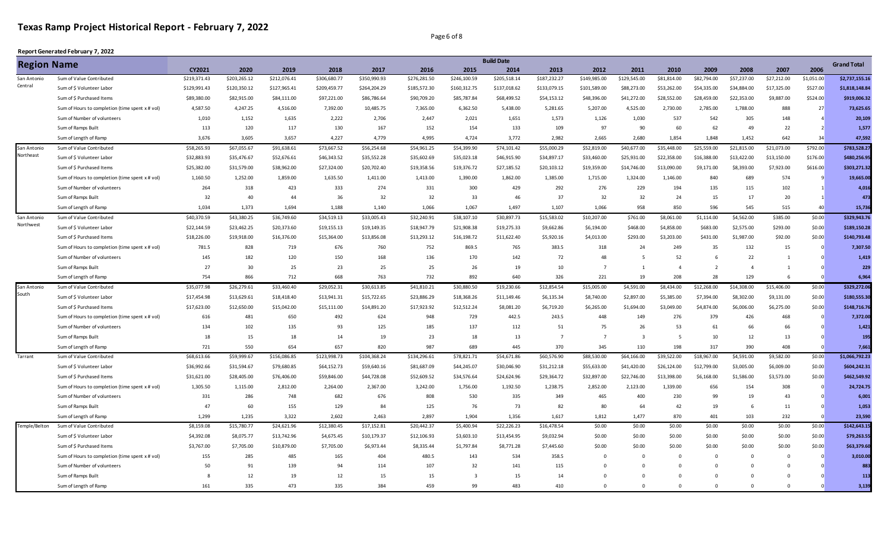Page 6 of 8

| <b>Region Name</b> |                                                 |              |              |              |              |              |              |                         | <b>Build Date</b> |                |                |              |                |                |                |              |                          | <b>Grand Total</b> |
|--------------------|-------------------------------------------------|--------------|--------------|--------------|--------------|--------------|--------------|-------------------------|-------------------|----------------|----------------|--------------|----------------|----------------|----------------|--------------|--------------------------|--------------------|
|                    |                                                 | CY2021       | 2020         | 2019         | 2018         | 2017         | 2016         | 2015                    | 2014              | 2013           | 2012           | 2011         | 2010           | 2009           | 2008           | 2007         | 2006                     |                    |
| San Antonio        | Sum of Value Contributed                        | \$219,371.43 | \$203,265.12 | \$212,076.41 | \$306,680.77 | \$350,990.93 | \$276,281.50 | \$246,100.59            | \$205,518.14      | \$187,232.27   | \$149,985.00   | \$129,545.00 | \$81,814.00    | \$82,794.00    | \$57,237.00    | \$27,212.00  | \$1,051.00               | \$2,737,155.16     |
| Central            | Sum of \$ Volunteer Labor                       | \$129,991.43 | \$120,350.12 | \$127,965.41 | \$209,459.77 | \$264,204.29 | \$185,572.30 | \$160,312.75            | \$137,018.62      | \$133,079.15   | \$101,589.00   | \$88,273.00  | \$53,262.00    | \$54,335.00    | \$34,884.00    | \$17,325.00  | \$527.00                 | \$1,818,148.84     |
|                    | Sum of \$ Purchased Items                       | \$89,380.00  | \$82,915.00  | \$84,111.00  | \$97,221.00  | \$86,786.64  | \$90,709.20  | \$85,787.84             | \$68,499.52       | \$54,153.12    | \$48,396.00    | \$41,272.00  | \$28,552.00    | \$28,459.00    | \$22,353.00    | \$9,887.00   | \$524.00                 | \$919,006.32       |
|                    | Sum of Hours to completion (time spent x # vol) | 4,587.50     | 4,247.25     | 4,516.00     | 7,392.00     | 10,485.75    | 7,365.00     | 6,362.50                | 5,438.00          | 5,281.65       | 5,207.00       | 4,525.00     | 2,730.00       | 2,785.00       | 1,788.00       | 888          | 27                       | 73,625.65          |
|                    | Sum of Number of volunteers                     | 1,010        | 1,152        | 1,635        | 2,222        | 2,706        | 2,447        | 2,021                   | 1,651             | 1,573          | 1,126          | 1,030        | 537            | 542            | 305            | 148          |                          | 20,109             |
|                    | Sum of Ramps Built                              | 113          | 120          | 117          | 130          | 167          | 152          | 154                     | 133               | 109            | 97             | 90           | 60             | 62             | 49             | 22           | $\overline{\phantom{a}}$ | 1,577              |
|                    | Sum of Length of Ramp                           | 3,676        | 3,605        | 3,657        | 4,227        | 4,779        | 4,995        | 4,724                   | 3,772             | 2,982          | 2,665          | 2,680        | 1,854          | 1,848          | 1,452          | 642          | 34                       | 47,592             |
| San Antonio        | Sum of Value Contributed                        | \$58,265.93  | \$67,055.67  | \$91,638.61  | \$73,667.52  | \$56,254.68  | \$54,961.25  | \$54,399.90             | \$74,101.42       | \$55,000.29    | \$52,819.00    | \$40,677.00  | \$35,448.00    | \$25,559.00    | \$21,815.00    | \$21,073.00  | \$792.00                 | \$783.528.27       |
| Northeast          | Sum of \$ Volunteer Labor                       | \$32,883.93  | \$35,476.67  | \$52,676.61  | \$46,343.52  | \$35,552.28  | \$35,602.69  | \$35,023.18             | \$46,915.90       | \$34,897.17    | \$33,460.00    | \$25,931.00  | \$22,358.00    | \$16,388.00    | \$13,422.00    | \$13,150.00  | \$176.00                 | \$480,256.95       |
|                    | Sum of \$ Purchased Items                       | \$25,382.00  | \$31,579.00  | \$38,962.00  | \$27,324.00  | \$20,702.40  | \$19,358.56  | \$19,376.72             | \$27,185.52       | \$20,103.12    | \$19,359.00    | \$14,746.00  | \$13,090.00    | \$9,171.00     | \$8,393.00     | \$7,923.00   | \$616.00                 | \$303,271.32       |
|                    | Sum of Hours to completion (time spent x # vol) | 1,160.50     | 1,252.00     | 1,859.00     | 1,635.50     | 1,411.00     | 1,413.00     | 1,390.00                | 1,862.00          | 1,385.00       | 1,715.00       | 1,324.00     | 1,146.00       | 840            | 689            | 574          | 9                        | 19,665.00          |
|                    | Sum of Number of volunteers                     | 264          | 318          | 423          | 333          | 274          | 331          | 300                     | 429               | 292            | 276            | 229          | 194            | 135            | 115            | 102          |                          | 4,016              |
|                    | Sum of Ramps Built                              | 32           | 40           | 44           | 36           | 32           | 32           | 33                      | 46                | 37             | 32             | 32           | 24             | 15             | 17             | 20           |                          | 473                |
|                    | Sum of Length of Ramp                           | 1,034        | 1,373        | 1,694        | 1,188        | 1,140        | 1,066        | 1,067                   | 1,497             | 1,107          | 1,066          | 958          | 850            | 596            | 545            | 515          | 40                       | 15,736             |
| San Antonio        | Sum of Value Contributed                        | \$40,370.59  | \$43,380.25  | \$36,749.60  | \$34,519.13  | \$33,005.43  | \$32,240.91  | \$38,107.10             | \$30,897.73       | \$15,583.02    | \$10,207.00    | \$761.00     | \$8,061.00     | \$1,114.00     | \$4,562.00     | \$385.00     | \$0.00                   | \$329,943.76       |
| Northwest          | Sum of \$ Volunteer Labor                       | \$22,144.59  | \$23,462.25  | \$20,373.60  | \$19,155.13  | \$19,149.35  | \$18,947.79  | \$21,908.38             | \$19,275.33       | \$9,662.86     | \$6,194.00     | \$468.00     | \$4,858.00     | \$683.00       | \$2,575.00     | \$293.00     | \$0.00                   | \$189,150.28       |
|                    | Sum of \$ Purchased Items                       | \$18,226.00  | \$19,918.00  | \$16,376.00  | \$15,364.00  | \$13,856.08  | \$13,293.12  | \$16,198.72             | \$11,622.40       | \$5,920.16     | \$4,013.00     | \$293.00     | \$3,203.00     | \$431.00       | \$1,987.00     | \$92.00      | \$0.00                   | \$140,793.48       |
|                    | Sum of Hours to completion (time spent x # vol) | 781.5        | 828          | 719          | 676          | 760          | 752          | 869.5                   | 765               | 383.5          | 318            | 24           | 249            | 35             | 132            | 15           | $\Omega$                 | 7.307.50           |
|                    | Sum of Number of volunteers                     | 145          | 182          | 120          | 150          | 168          | 136          | 170                     | 142               | 72             | 48             | -5           | 52             | 6              | 22             | $\mathbf{1}$ |                          | 1,419              |
|                    | Sum of Ramps Built                              | 27           | 30           | 25           | 23           | 25           | 25           | 26                      | 19                | 10             | $\overline{7}$ | $\mathbf{1}$ | $\overline{4}$ | $\overline{2}$ | $\overline{4}$ | 1            |                          | 229                |
|                    | Sum of Length of Ramp                           | 754          | 866          | 712          | 668          | 763          | 732          | 892                     | 640               | 326            | 221            | 19           | 208            | 28             | 129            | <b>6</b>     |                          | 6,964              |
| San Antonio        | Sum of Value Contributed                        | \$35,077.98  | \$26,279.61  | \$33,460.40  | \$29,052.31  | \$30,613.85  | \$41,810.21  | \$30,880.50             | \$19,230.66       | \$12,854.54    | \$15,005.00    | \$4,591.00   | \$8,434.00     | \$12,268.00    | \$14,308.00    | \$15,406.00  | \$0.00                   | \$329,272.06       |
| South              | Sum of \$ Volunteer Labor                       | \$17,454.98  | \$13,629.61  | \$18,418.40  | \$13,941.31  | \$15,722.65  | \$23,886.29  | \$18,368.26             | \$11,149.46       | \$6,135.34     | \$8,740.00     | \$2,897.00   | \$5,385.00     | \$7,394.00     | \$8,302.00     | \$9,131.00   | \$0.00                   | \$180,555.30       |
|                    | Sum of \$ Purchased Items                       | \$17,623.00  | \$12,650.00  | \$15,042.00  | \$15,111.00  | \$14,891.20  | \$17,923.92  | \$12,512.24             | \$8,081.20        | \$6,719.20     | \$6,265.00     | \$1,694.00   | \$3,049.00     | \$4,874.00     | \$6,006.00     | \$6,275.00   | \$0.00                   | \$148,716.76       |
|                    | Sum of Hours to completion (time spent x # vol) | 616          | 481          | 650          | 492          | 624          | 948          | 729                     | 442.5             | 243.5          | 448            | 149          | 276            | 379            | 426            | 468          | $\Omega$                 | 7,372.00           |
|                    | Sum of Number of volunteers                     | 134          | 102          | 135          | 93           | 125          | 185          | 137                     | 112               | 51             | 75             | 26           | 53             | 61             | 66             | 66           |                          | 1,421              |
|                    | Sum of Ramps Built                              | 18           | 15           | 18           | 14           | 19           | 23           | 18                      | 13                | $\overline{7}$ | $\overline{7}$ |              | -5             | 10             | 12             | 13           |                          | 195                |
|                    | Sum of Length of Ramp                           | 721          | 550          | 654          | 657          | 820          | 987          | 689                     | 445               | 370            | 345            | 110          | 198            | 317            | 390            | 408          |                          | 7,661              |
| Tarrant            | Sum of Value Contributed                        | \$68,613.66  | \$59,999.67  | \$156,086.85 | \$123,998.73 | \$104,368.24 | \$134,296.61 | \$78,821.71             | \$54,671.86       | \$60,576.90    | \$88,530.00    | \$64,166.00  | \$39,522.00    | \$18,967.00    | \$4,591.00     | \$9,582.00   | \$0.00                   | \$1,066,792.23     |
|                    | Sum of \$ Volunteer Labor                       | \$36,992.66  | \$31,594.67  | \$79,680.85  | \$64,152.73  | \$59,640.16  | \$81,687.09  | \$44,245.07             | \$30,046.90       | \$31,212.18    | \$55,633.00    | \$41,420.00  | \$26,124.00    | \$12,799.00    | \$3,005.00     | \$6,009.00   | \$0.00                   | \$604,242.31       |
|                    | Sum of \$ Purchased Items                       | \$31,621.00  | \$28,405.00  | \$76,406.00  | \$59,846.00  | \$44,728.08  | \$52,609.52  | \$34,576.64             | \$24,624.96       | \$29,364.72    | \$32,897.00    | \$22,746.00  | \$13,398.00    | \$6,168.00     | \$1,586.00     | \$3,573.00   | \$0.00                   | \$462,549.92       |
|                    | Sum of Hours to completion (time spent x # vol) | 1,305.50     | 1,115.00     | 2,812.00     | 2,264.00     | 2,367.00     | 3,242.00     | 1,756.00                | 1,192.50          | 1,238.75       | 2,852.00       | 2,123.00     | 1,339.00       | 656            | 154            | 308          | $\Omega$                 | 24,724.75          |
|                    | Sum of Number of volunteers                     | 331          | 286          | 748          | 682          | 676          | 808          | 530                     | 335               | 349            | 465            | 400          | 230            | 99             | 19             | 43           | $\Omega$                 | 6,001              |
|                    | Sum of Ramps Built                              | 47           | 60           | 155          | 129          | 84           | 125          | 76                      | 73                | 82             | 80             | 64           | 42             | 19             | 6              | 11           |                          | 1.053              |
|                    | Sum of Length of Ramp                           | 1,299        | 1,235        | 3,322        | 2,602        | 2,463        | 2,897        | 1,904                   | 1,356             | 1,617          | 1,812          | 1,477        | 870            | 401            | 103            | 232          |                          | 23,590             |
| Temple/Belton      | Sum of Value Contributed                        | \$8,159.08   | \$15,780.77  | \$24,621.96  | \$12,380.45  | \$17,152.81  | \$20,442.37  | \$5,400.94              | \$22,226.23       | \$16,478.54    | \$0.00         | \$0.00       | \$0.00         | \$0.00         | \$0.00         | \$0.00       | \$0.00                   | \$142,643.15       |
|                    | Sum of \$ Volunteer Labor                       | \$4,392.08   | \$8,075.77   | \$13,742.96  | \$4,675.45   | \$10,179.37  | \$12,106.93  | \$3,603.10              | \$13,454.95       | \$9,032.94     | \$0.00         | \$0.00       | \$0.00         | \$0.00         | \$0.00         | \$0.00       | \$0.00                   | \$79,263.55        |
|                    | Sum of \$ Purchased Items                       | \$3,767.00   | \$7,705.00   | \$10,879.00  | \$7,705.00   | \$6,973.44   | \$8,335.44   | \$1,797.84              | \$8,771.28        | \$7,445.60     | \$0.00         | \$0.00       | \$0.00         | \$0.00         | \$0.00         | \$0.00       | \$0.00                   | \$63,379.60        |
|                    | Sum of Hours to completion (time spent x # vol) | 155          | 285          | 485          | 165          | 404          | 480.5        | 143                     | 534               | 358.5          | $\Omega$       | $\Omega$     | $\Omega$       | $\Omega$       | $\Omega$       | $\Omega$     |                          | 3,010.00           |
|                    | Sum of Number of volunteers                     | 50           | 91           | 139          | 94           | 114          | 107          | 32                      | 141               | 115            | $\Omega$       | $\Omega$     | $\Omega$       | $\Omega$       | $\Omega$       | $\Omega$     |                          | 883                |
|                    | Sum of Ramps Built                              |              | 12           | 19           | 12           | 15           | 15           | $\overline{\mathbf{3}}$ | 15                | 14             | $\Omega$       | 0            | $\Omega$       | $\Omega$       | $\Omega$       | $\Omega$     |                          | 113                |
|                    | Sum of Length of Ramp                           | 161          | 335          | 473          | 335          | 384          | 459          | 99                      | 483               | 410            | $\Omega$       | $\Omega$     | $\Omega$       | $\Omega$       | $\Omega$       | $\Omega$     |                          | 3,139              |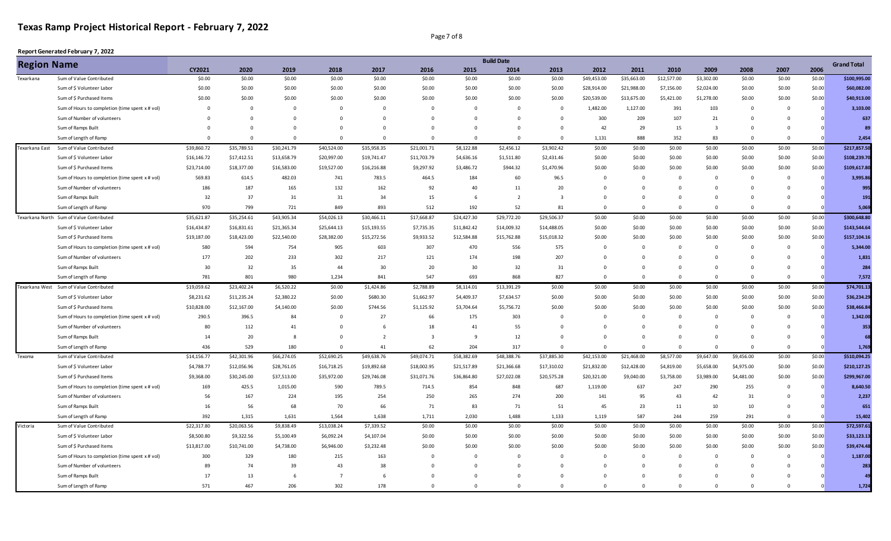Page 7 of 8

|                | <b>Region Name</b>                              |             |                |             |                |                |                         |                | <b>Build Date</b> |              |             |             |                |                |                |                |          | <b>Grand Total</b> |
|----------------|-------------------------------------------------|-------------|----------------|-------------|----------------|----------------|-------------------------|----------------|-------------------|--------------|-------------|-------------|----------------|----------------|----------------|----------------|----------|--------------------|
|                |                                                 | CY2021      | 2020           | 2019        | 2018           | 2017           | 2016                    | 2015           | 2014              | 2013         | 2012        | 2011        | 2010           | 2009           | 2008           | 2007           | 2006     |                    |
| Texarkana      | Sum of Value Contributed                        | \$0.00      | \$0.00         | \$0.00      | \$0.00         | \$0.00         | \$0.00                  | \$0.00         | \$0.00            | \$0.00       | \$49,453.00 | \$35,663.00 | \$12,577.00    | \$3,302.00     | \$0.00         | \$0.00         | \$0.00   | \$100,995.00       |
|                | Sum of \$ Volunteer Labor                       | \$0.00      | \$0.00         | \$0.00      | \$0.00         | \$0.00         | \$0.00                  | \$0.00         | \$0.00            | \$0.00       | \$28,914.00 | \$21,988.00 | \$7,156.00     | \$2,024.00     | \$0.00         | \$0.00         | \$0.00   | \$60,082.00        |
|                | Sum of \$ Purchased Items                       | \$0.00      | \$0.00         | \$0.00      | \$0.00         | \$0.00         | \$0.00                  | \$0.00         | \$0.00            | \$0.00       | \$20,539.00 | \$13,675.00 | \$5,421.00     | \$1,278.00     | \$0.00         | \$0.00         | \$0.00   | \$40,913.00        |
|                | Sum of Hours to completion (time spent x # vol) | $\mathbf 0$ | $\overline{0}$ | $\mathbf 0$ | $\overline{0}$ | 0              | $\mathbf{0}$            | $\mathbf 0$    | $\mathbf 0$       | $\Omega$     | 1,482.00    | 1,127.00    | 391            | 103            | $\mathbf 0$    | $\overline{0}$ |          | 3,103.00           |
|                | Sum of Number of volunteers                     | $\Omega$    | $\Omega$       | $\Omega$    | $\mathbf 0$    | $\Omega$       | $\mathbf 0$             | $\overline{0}$ | $\Omega$          |              | 300         | 209         | 107            | 21             | $\Omega$       | $\Omega$       |          | 637                |
|                | Sum of Ramps Built                              | $\Omega$    | $\Omega$       | $\Omega$    | $\mathbf 0$    | $\Omega$       | $\mathbf 0$             | $\Omega$       | $\Omega$          |              | 42          | 29          | 15             | $\overline{3}$ | $\Omega$       | $\Omega$       |          | 89                 |
|                | Sum of Length of Ramp                           | $\Omega$    | $\Omega$       | $\Omega$    | $\mathbf 0$    | $\Omega$       | $\mathbf 0$             | $\overline{0}$ | $\Omega$          | $\Omega$     | 1,131       | 888         | 352            | 83             | $\Omega$       | $\Omega$       |          | 2,454              |
| Texarkana East | Sum of Value Contributed                        | \$39,860.72 | \$35,789.51    | \$30,241.79 | \$40,524.00    | \$35,958.35    | \$21,001.71             | \$8,122.88     | \$2,456.12        | \$3,902.42   | \$0.00      | \$0.00      | \$0.00         | \$0.00         | \$0.00         | \$0.00         | \$0.00   | \$217,857.50       |
|                | Sum of \$ Volunteer Labor                       | \$16,146.72 | \$17,412.51    | \$13,658.79 | \$20,997.00    | \$19,741.47    | \$11,703.79             | \$4,636.16     | \$1,511.80        | \$2,431.46   | \$0.00      | \$0.00      | \$0.00         | \$0.00         | \$0.00         | \$0.00         | \$0.00   | \$108,239.70       |
|                | Sum of \$ Purchased Items                       | \$23,714.00 | \$18,377.00    | \$16,583.00 | \$19,527.00    | \$16,216.88    | \$9,297.92              | \$3,486.72     | \$944.32          | \$1,470.96   | \$0.00      | \$0.00      | \$0.00         | \$0.00         | \$0.00         | \$0.00         | \$0.00   | \$109,617.80       |
|                | Sum of Hours to completion (time spent x # vol) | 569.83      | 614.5          | 482.03      | 741            | 783.5          | 464.5                   | 184            | 60                | 96.5         | $\Omega$    | $\Omega$    | $\Omega$       | $\Omega$       | $\overline{0}$ | $\Omega$       | $\Omega$ | 3,995.86           |
|                | Sum of Number of volunteers                     | 186         | 187            | 165         | 132            | 162            | 92                      | 40             | 11                | 20           | $\Omega$    | $\Omega$    | $\Omega$       | $\cap$         | $\Omega$       | $\Omega$       |          | 995                |
|                | Sum of Ramps Built                              | 32          | 37             | 31          | 31             | 34             | 15                      | 6              | 2                 | $\mathbf{3}$ | $\Omega$    |             | $\Omega$       | $\Omega$       | $\Omega$       | $\Omega$       |          | 191                |
|                | Sum of Length of Ramp                           | 970         | 799            | 721         | 849            | 893            | 512                     | 192            | 52                | 81           | $\Omega$    | $\mathbf 0$ | $\Omega$       | $\mathbf{0}$   | $\mathbf 0$    | $\Omega$       |          | 5,069              |
|                | Texarkana North Sum of Value Contributed        | \$35,621.87 | \$35,254.61    | \$43,905.34 | \$54,026.13    | \$30,466.11    | \$17,668.87             | \$24,427.30    | \$29,772.20       | \$29,506.37  | \$0.00      | \$0.00      | \$0.00         | \$0.00         | \$0.00         | \$0.00         | \$0.00   | \$300,648.80       |
|                | Sum of \$ Volunteer Labor                       | \$16,434.87 | \$16,831.61    | \$21,365.34 | \$25,644.13    | \$15,193.55    | \$7,735.35              | \$11,842.42    | \$14,009.32       | \$14,488.05  | \$0.00      | \$0.00      | \$0.00         | \$0.00         | \$0.00         | \$0.00         | \$0.00   | \$143,544.64       |
|                | Sum of \$ Purchased Items                       | \$19,187.00 | \$18,423.00    | \$22,540.00 | \$28,382.00    | \$15,272.56    | \$9,933.52              | \$12,584.88    | \$15,762.88       | \$15,018.32  | \$0.00      | \$0.00      | \$0.00         | \$0.00         | \$0.00         | \$0.00         | \$0.00   | \$157,104.16       |
|                | Sum of Hours to completion (time spent x # vol) | 580         | 594            | 754         | 905            | 603            | 307                     | 470            | 556               | 575          | $^{\circ}$  | $\mathbf 0$ | $\overline{0}$ | $\mathbf{0}$   | $\mathbf 0$    | $^{\circ}$     | $\Omega$ | 5,344.00           |
|                | Sum of Number of volunteers                     | 177         | 202            | 233         | 302            | 217            | 121                     | 174            | 198               | 207          | $\Omega$    | $\Omega$    | $\Omega$       |                | $\Omega$       | $\Omega$       |          | 1,831              |
|                | Sum of Ramps Built                              | 30          | 32             | 35          | 44             | 30             | 20                      | 30             | 32                | 31           | $^{\circ}$  | $\Omega$    | $\Omega$       | $\Omega$       | $\mathbf{0}$   | $^{\circ}$     |          | 284                |
|                | Sum of Length of Ramp                           | 781         | 801            | 980         | 1,234          | 841            | 547                     | 693            | 868               | 827          | $\Omega$    | $\mathbf 0$ | $\Omega$       | $\mathbf 0$    | $\overline{0}$ | $\Omega$       |          | 7,572              |
|                | Texarkana West Sum of Value Contributed         | \$19,059.62 | \$23,402.24    | \$6,520.22  | \$0.00         | \$1,424.86     | \$2,788.89              | \$8,114.01     | \$13,391.29       | \$0.00       | \$0.00      | \$0.00      | \$0.00         | \$0.00         | \$0.00         | \$0.00         | \$0.00   | \$74,701.13        |
|                | Sum of \$ Volunteer Labor                       | \$8,231.62  | \$11,235.24    | \$2,380.22  | \$0.00         | \$680.30       | \$1,662.97              | \$4,409.37     | \$7,634.57        | \$0.00       | \$0.00      | \$0.00      | \$0.00         | \$0.00         | \$0.00         | \$0.00         | \$0.00   | \$36,234.29        |
|                | Sum of \$ Purchased Items                       | \$10,828.00 | \$12,167.00    | \$4,140.00  | \$0.00         | \$744.56       | \$1,125.92              | \$3,704.64     | \$5,756.72        | \$0.00       | \$0.00      | \$0.00      | \$0.00         | \$0.00         | \$0.00         | \$0.00         | \$0.00   | \$38,466.84        |
|                | Sum of Hours to completion (time spent x # vol) | 290.5       | 396.5          | 84          | $\mathbf 0$    | 27             | 66                      | 175            | 303               | $\Omega$     | $\Omega$    | $\Omega$    | $\Omega$       | $\Omega$       | $\Omega$       | $\Omega$       |          | 1,342.00           |
|                | Sum of Number of volunteers                     | 80          | 112            | 41          | $\mathbf 0$    | 6              | 18                      | 41             | 55                | $\Omega$     | $\Omega$    | $\Omega$    | $\Omega$       | $\Omega$       | $\mathbf 0$    | $\Omega$       |          | 353                |
|                | Sum of Ramps Built                              | 14          | 20             | 8           | $\overline{0}$ | $\overline{2}$ | $\overline{\mathbf{3}}$ | 9              | 12                | $\Omega$     | $\Omega$    | $\Omega$    | $\Omega$       | $\Omega$       | $\mathbf 0$    | $\overline{0}$ |          |                    |
|                | Sum of Length of Ramp                           | 436         | 529            | 180         | $\overline{0}$ | 41             | 62                      | 204            | 317               | $\Omega$     | $\Omega$    | $\Omega$    | $\Omega$       | $\Omega$       | $\Omega$       | $\Omega$       |          | 1,769              |
| Texoma         | Sum of Value Contributed                        | \$14,156.77 | \$42,301.96    | \$66,274.05 | \$52,690.25    | \$49,638.76    | \$49,074.71             | \$58,382.69    | \$48,388.76       | \$37,885.30  | \$42,153.00 | \$21,468.00 | \$8,577.00     | \$9,647.00     | \$9,456.00     | \$0.00         | \$0.00   | \$510,094.25       |
|                | Sum of \$ Volunteer Labor                       | \$4,788.77  | \$12,056.96    | \$28,761.05 | \$16,718.25    | \$19,892.68    | \$18,002.95             | \$21,517.89    | \$21,366.68       | \$17,310.02  | \$21,832.00 | \$12,428.00 | \$4,819.00     | \$5,658.00     | \$4,975.00     | \$0.00         | \$0.00   | \$210,127.25       |
|                | Sum of \$ Purchased Items                       | \$9,368.00  | \$30,245.00    | \$37,513.00 | \$35,972.00    | \$29,746.08    | \$31,071.76             | \$36,864.80    | \$27,022.08       | \$20,575.28  | \$20,321.00 | \$9,040.00  | \$3,758.00     | \$3,989.00     | \$4,481.00     | \$0.00         | \$0.00   | \$299,967.00       |
|                | Sum of Hours to completion (time spent x # vol) | 169         | 425.5          | 1,015.00    | 590            | 789.5          | 714.5                   | 854            | 848               | 687          | 1,119.00    | 637         | 247            | 290            | 255            | $\Omega$       |          | 8,640.50           |
|                | Sum of Number of volunteers                     | 56          | 167            | 224         | 195            | 254            | 250                     | 265            | 274               | 200          | 141         | 95          | 43             | 42             | 31             | $\Omega$       |          | 2,237              |
|                | Sum of Ramps Built                              | 16          | 56             | 68          | 70             | 66             | 71                      | 83             | 71                | 51           | 45          | 23          | 11             | 10             | 10             | $\Omega$       |          | 651                |
|                | Sum of Length of Ramp                           | 392         | 1,315          | 1,631       | 1,564          | 1,638          | 1,711                   | 2,030          | 1,488             | 1,133        | 1,119       | 587         | 244            | 259            | 291            | $\Omega$       |          | 15,402             |
| Victoria       | Sum of Value Contributed                        | \$22,317.80 | \$20,063.56    | \$9,838.49  | \$13,038.24    | \$7,339.52     | \$0.00                  | \$0.00         | \$0.00            | \$0.00       | \$0.00      | \$0.00      | \$0.00         | \$0.00         | \$0.00         | \$0.00         | \$0.00   | \$72,597.61        |
|                | Sum of \$ Volunteer Labor                       | \$8,500.80  | \$9,322.56     | \$5,100.49  | \$6,092.24     | \$4,107.04     | \$0.00                  | \$0.00         | \$0.00            | \$0.00       | \$0.00      | \$0.00      | \$0.00         | \$0.00         | \$0.00         | \$0.00         | \$0.00   | \$33,123.13        |
|                | Sum of \$ Purchased Items                       | \$13,817.00 | \$10,741.00    | \$4,738.00  | \$6,946.00     | \$3,232.48     | \$0.00                  | \$0.00         | \$0.00            | \$0.00       | \$0.00      | \$0.00      | \$0.00         | \$0.00         | \$0.00         | \$0.00         | \$0.00   | \$39,474.48        |
|                | Sum of Hours to completion (time spent x # vol) | 300         | 329            | 180         | 215            | 163            | $\mathbf 0$             | $\overline{0}$ | $\mathbf 0$       | $\Omega$     | $\Omega$    | $\Omega$    | $\Omega$       | $\Omega$       | $\overline{0}$ | $\Omega$       |          | 1,187.00           |
|                | Sum of Number of volunteers                     | 89          | 74             | 39          | 43             | 38             | $\mathbf{0}$            | $^{\circ}$     | $\mathbf 0$       | $\Omega$     | $\Omega$    |             | $\Omega$       | - 0            | $\mathbf 0$    | $\Omega$       |          | 283                |
|                | Sum of Ramps Built                              | 17          | 13             | 6           | $\overline{7}$ | -6             | $\Omega$                | $\Omega$       | $\Omega$          |              |             |             | $\Omega$       |                |                |                |          |                    |
|                | Sum of Length of Ramp                           | 571         | 467            | 206         | 302            | 178            | $\Omega$                | $\Omega$       | $\Omega$          |              | $\Omega$    | $\Omega$    | $\Omega$       | $\Omega$       | $\Omega$       | $\Omega$       |          | 1,724              |